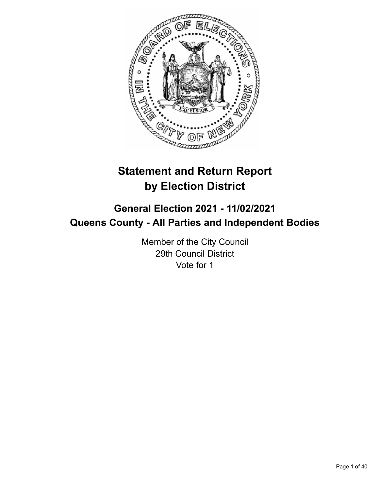

# **Statement and Return Report by Election District**

# **General Election 2021 - 11/02/2021 Queens County - All Parties and Independent Bodies**

Member of the City Council 29th Council District Vote for 1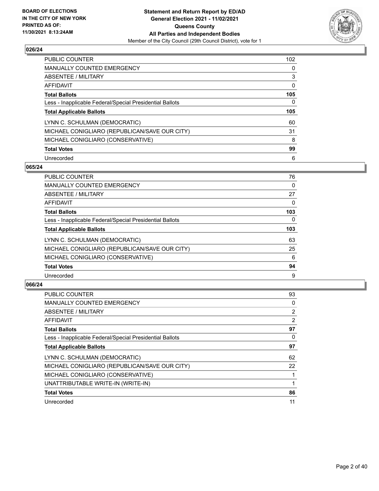

| <b>PUBLIC COUNTER</b>                                    | 102 |
|----------------------------------------------------------|-----|
| <b>MANUALLY COUNTED EMERGENCY</b>                        | 0   |
| ABSENTEE / MILITARY                                      | 3   |
| AFFIDAVIT                                                | 0   |
| <b>Total Ballots</b>                                     | 105 |
| Less - Inapplicable Federal/Special Presidential Ballots | 0   |
|                                                          |     |
| <b>Total Applicable Ballots</b>                          | 105 |
| LYNN C. SCHULMAN (DEMOCRATIC)                            | 60  |
| MICHAEL CONIGLIARO (REPUBLICAN/SAVE OUR CITY)            | 31  |
| MICHAEL CONIGLIARO (CONSERVATIVE)                        | 8   |
| <b>Total Votes</b>                                       | 99  |

#### **065/24**

| <b>PUBLIC COUNTER</b>                                    | 76       |
|----------------------------------------------------------|----------|
| MANUALLY COUNTED EMERGENCY                               | 0        |
| ABSENTEE / MILITARY                                      | 27       |
| AFFIDAVIT                                                | $\Omega$ |
| <b>Total Ballots</b>                                     | 103      |
| Less - Inapplicable Federal/Special Presidential Ballots | $\Omega$ |
| <b>Total Applicable Ballots</b>                          | 103      |
| LYNN C. SCHULMAN (DEMOCRATIC)                            | 63       |
| MICHAEL CONIGLIARO (REPUBLICAN/SAVE OUR CITY)            | 25       |
| MICHAEL CONIGLIARO (CONSERVATIVE)                        | 6        |
| <b>Total Votes</b>                                       | 94       |
| Unrecorded                                               | 9        |

| <b>PUBLIC COUNTER</b>                                    | 93             |
|----------------------------------------------------------|----------------|
| <b>MANUALLY COUNTED EMERGENCY</b>                        | 0              |
| ABSENTEE / MILITARY                                      | $\overline{2}$ |
| AFFIDAVIT                                                | 2              |
| <b>Total Ballots</b>                                     | 97             |
| Less - Inapplicable Federal/Special Presidential Ballots | 0              |
| <b>Total Applicable Ballots</b>                          | 97             |
| LYNN C. SCHULMAN (DEMOCRATIC)                            | 62             |
| MICHAEL CONIGLIARO (REPUBLICAN/SAVE OUR CITY)            | 22             |
| MICHAEL CONIGLIARO (CONSERVATIVE)                        |                |
| UNATTRIBUTABLE WRITE-IN (WRITE-IN)                       |                |
| <b>Total Votes</b>                                       | 86             |
| Unrecorded                                               | 11             |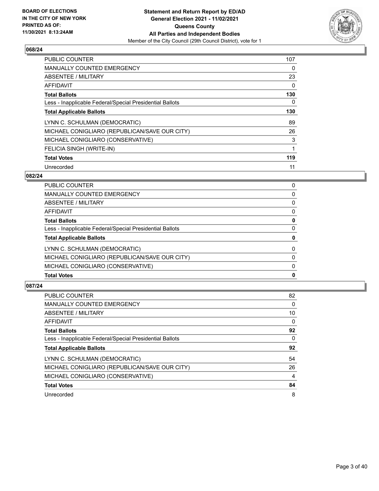

| <b>PUBLIC COUNTER</b>                                    | 107 |
|----------------------------------------------------------|-----|
| <b>MANUALLY COUNTED EMERGENCY</b>                        | 0   |
| ABSENTEE / MILITARY                                      | 23  |
| AFFIDAVIT                                                | 0   |
| <b>Total Ballots</b>                                     | 130 |
| Less - Inapplicable Federal/Special Presidential Ballots | 0   |
| <b>Total Applicable Ballots</b>                          | 130 |
| LYNN C. SCHULMAN (DEMOCRATIC)                            | 89  |
| MICHAEL CONIGLIARO (REPUBLICAN/SAVE OUR CITY)            | 26  |
| MICHAEL CONIGLIARO (CONSERVATIVE)                        | 3   |
| FELICIA SINGH (WRITE-IN)                                 | 1   |
| <b>Total Votes</b>                                       | 119 |
| Unrecorded                                               | 11  |

# **082/24**

| <b>Total Votes</b>                                       | 0        |
|----------------------------------------------------------|----------|
| MICHAEL CONIGLIARO (CONSERVATIVE)                        | 0        |
| MICHAEL CONIGLIARO (REPUBLICAN/SAVE OUR CITY)            | $\Omega$ |
| LYNN C. SCHULMAN (DEMOCRATIC)                            | $\Omega$ |
| <b>Total Applicable Ballots</b>                          | 0        |
| Less - Inapplicable Federal/Special Presidential Ballots | 0        |
| <b>Total Ballots</b>                                     | 0        |
| AFFIDAVIT                                                | 0        |
| <b>ABSENTEE / MILITARY</b>                               | $\Omega$ |
| <b>MANUALLY COUNTED EMERGENCY</b>                        | $\Omega$ |
| <b>PUBLIC COUNTER</b>                                    | 0        |

| <b>PUBLIC COUNTER</b>                                    | 82       |
|----------------------------------------------------------|----------|
| <b>MANUALLY COUNTED EMERGENCY</b>                        | 0        |
| ABSENTEE / MILITARY                                      | 10       |
| AFFIDAVIT                                                | 0        |
| <b>Total Ballots</b>                                     | 92       |
| Less - Inapplicable Federal/Special Presidential Ballots | $\Omega$ |
| <b>Total Applicable Ballots</b>                          | 92       |
| LYNN C. SCHULMAN (DEMOCRATIC)                            | 54       |
| MICHAEL CONIGLIARO (REPUBLICAN/SAVE OUR CITY)            | 26       |
| MICHAEL CONIGLIARO (CONSERVATIVE)                        | 4        |
| <b>Total Votes</b>                                       | 84       |
| Unrecorded                                               | 8        |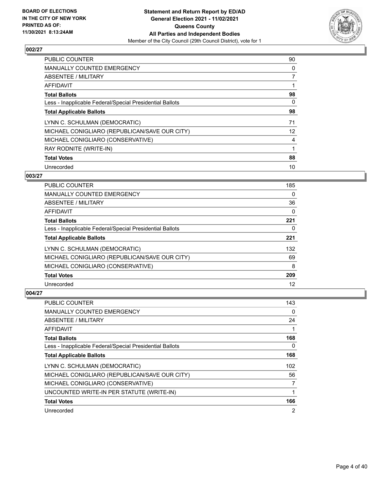

| <b>PUBLIC COUNTER</b>                                    | 90 |
|----------------------------------------------------------|----|
| <b>MANUALLY COUNTED EMERGENCY</b>                        | 0  |
| ABSENTEE / MILITARY                                      | 7  |
| AFFIDAVIT                                                |    |
| <b>Total Ballots</b>                                     | 98 |
| Less - Inapplicable Federal/Special Presidential Ballots | 0  |
| <b>Total Applicable Ballots</b>                          | 98 |
| LYNN C. SCHULMAN (DEMOCRATIC)                            | 71 |
| MICHAEL CONIGLIARO (REPUBLICAN/SAVE OUR CITY)            | 12 |
| MICHAEL CONIGLIARO (CONSERVATIVE)                        | 4  |
| RAY RODNITE (WRITE-IN)                                   | 1  |
| <b>Total Votes</b>                                       | 88 |
| Unrecorded                                               | 10 |

### **003/27**

| <b>PUBLIC COUNTER</b>                                    | 185 |
|----------------------------------------------------------|-----|
| <b>MANUALLY COUNTED EMERGENCY</b>                        | 0   |
| ABSENTEE / MILITARY                                      | 36  |
| AFFIDAVIT                                                | 0   |
| <b>Total Ballots</b>                                     | 221 |
| Less - Inapplicable Federal/Special Presidential Ballots | 0   |
| <b>Total Applicable Ballots</b>                          | 221 |
| LYNN C. SCHULMAN (DEMOCRATIC)                            | 132 |
| MICHAEL CONIGLIARO (REPUBLICAN/SAVE OUR CITY)            | 69  |
| MICHAEL CONIGLIARO (CONSERVATIVE)                        | 8   |
| <b>Total Votes</b>                                       | 209 |
| Unrecorded                                               | 12  |

| PUBLIC COUNTER                                           | 143            |
|----------------------------------------------------------|----------------|
| <b>MANUALLY COUNTED EMERGENCY</b>                        | 0              |
| ABSENTEE / MILITARY                                      | 24             |
| AFFIDAVIT                                                |                |
| <b>Total Ballots</b>                                     | 168            |
| Less - Inapplicable Federal/Special Presidential Ballots | 0              |
| <b>Total Applicable Ballots</b>                          | 168            |
| LYNN C. SCHULMAN (DEMOCRATIC)                            | 102            |
| MICHAEL CONIGLIARO (REPUBLICAN/SAVE OUR CITY)            | 56             |
| MICHAEL CONIGLIARO (CONSERVATIVE)                        | 7              |
| UNCOUNTED WRITE-IN PER STATUTE (WRITE-IN)                | 1              |
| <b>Total Votes</b>                                       | 166            |
| Unrecorded                                               | $\overline{2}$ |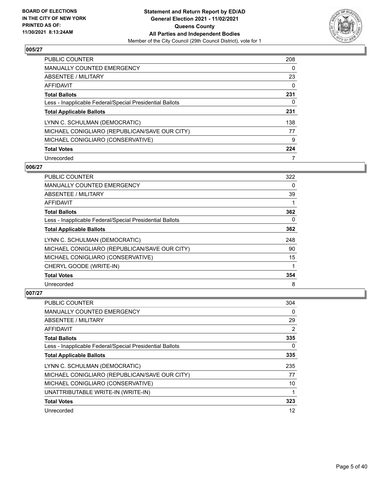

| <b>PUBLIC COUNTER</b>                                    | 208 |
|----------------------------------------------------------|-----|
| <b>MANUALLY COUNTED EMERGENCY</b>                        | 0   |
| ABSENTEE / MILITARY                                      | 23  |
| AFFIDAVIT                                                | 0   |
| <b>Total Ballots</b>                                     | 231 |
| Less - Inapplicable Federal/Special Presidential Ballots | 0   |
| <b>Total Applicable Ballots</b>                          | 231 |
| LYNN C. SCHULMAN (DEMOCRATIC)                            | 138 |
| MICHAEL CONIGLIARO (REPUBLICAN/SAVE OUR CITY)            | 77  |
| MICHAEL CONIGLIARO (CONSERVATIVE)                        | 9   |
| <b>Total Votes</b>                                       | 224 |
| Unrecorded                                               |     |

### **006/27**

| <b>PUBLIC COUNTER</b>                                    | 322 |
|----------------------------------------------------------|-----|
| <b>MANUALLY COUNTED EMERGENCY</b>                        | 0   |
| ABSENTEE / MILITARY                                      | 39  |
| AFFIDAVIT                                                |     |
| <b>Total Ballots</b>                                     | 362 |
| Less - Inapplicable Federal/Special Presidential Ballots | 0   |
| <b>Total Applicable Ballots</b>                          | 362 |
| LYNN C. SCHULMAN (DEMOCRATIC)                            | 248 |
| MICHAEL CONIGLIARO (REPUBLICAN/SAVE OUR CITY)            | 90  |
| MICHAEL CONIGLIARO (CONSERVATIVE)                        | 15  |
| CHERYL GOODE (WRITE-IN)                                  |     |
| <b>Total Votes</b>                                       | 354 |
| Unrecorded                                               | 8   |

| <b>PUBLIC COUNTER</b>                                    | 304 |
|----------------------------------------------------------|-----|
| MANUALLY COUNTED EMERGENCY                               | 0   |
| ABSENTEE / MILITARY                                      | 29  |
| AFFIDAVIT                                                | 2   |
| <b>Total Ballots</b>                                     | 335 |
| Less - Inapplicable Federal/Special Presidential Ballots | 0   |
| <b>Total Applicable Ballots</b>                          | 335 |
| LYNN C. SCHULMAN (DEMOCRATIC)                            | 235 |
| MICHAEL CONIGLIARO (REPUBLICAN/SAVE OUR CITY)            | 77  |
| MICHAEL CONIGLIARO (CONSERVATIVE)                        | 10  |
| UNATTRIBUTABLE WRITE-IN (WRITE-IN)                       |     |
| <b>Total Votes</b>                                       | 323 |
| Unrecorded                                               | 12  |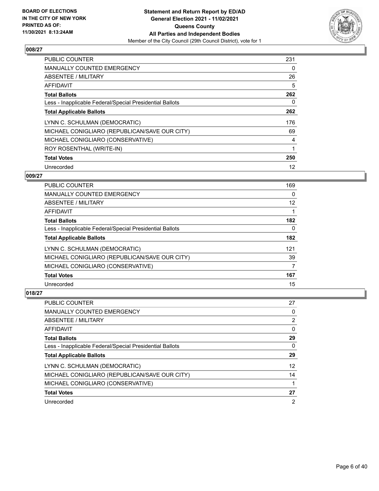

| <b>PUBLIC COUNTER</b>                                    | 231 |
|----------------------------------------------------------|-----|
| <b>MANUALLY COUNTED EMERGENCY</b>                        | 0   |
| ABSENTEE / MILITARY                                      | 26  |
| <b>AFFIDAVIT</b>                                         | 5   |
| <b>Total Ballots</b>                                     | 262 |
| Less - Inapplicable Federal/Special Presidential Ballots | 0   |
| <b>Total Applicable Ballots</b>                          | 262 |
| LYNN C. SCHULMAN (DEMOCRATIC)                            | 176 |
| MICHAEL CONIGLIARO (REPUBLICAN/SAVE OUR CITY)            | 69  |
| MICHAEL CONIGLIARO (CONSERVATIVE)                        | 4   |
| ROY ROSENTHAL (WRITE-IN)                                 | 1   |
| <b>Total Votes</b>                                       | 250 |
| Unrecorded                                               | 12  |

### **009/27**

| <b>PUBLIC COUNTER</b>                                    | 169      |
|----------------------------------------------------------|----------|
| <b>MANUALLY COUNTED EMERGENCY</b>                        | 0        |
| ABSENTEE / MILITARY                                      | 12       |
| <b>AFFIDAVIT</b>                                         |          |
| <b>Total Ballots</b>                                     | 182      |
| Less - Inapplicable Federal/Special Presidential Ballots | $\Omega$ |
| <b>Total Applicable Ballots</b>                          | 182      |
| LYNN C. SCHULMAN (DEMOCRATIC)                            | 121      |
| MICHAEL CONIGLIARO (REPUBLICAN/SAVE OUR CITY)            | 39       |
| MICHAEL CONIGLIARO (CONSERVATIVE)                        | 7        |
| <b>Total Votes</b>                                       | 167      |
| Unrecorded                                               | 15       |

| PUBLIC COUNTER                                           | 27 |
|----------------------------------------------------------|----|
| <b>MANUALLY COUNTED EMERGENCY</b>                        | 0  |
| ABSENTEE / MILITARY                                      | 2  |
| AFFIDAVIT                                                | 0  |
| <b>Total Ballots</b>                                     | 29 |
| Less - Inapplicable Federal/Special Presidential Ballots | 0  |
| <b>Total Applicable Ballots</b>                          | 29 |
| LYNN C. SCHULMAN (DEMOCRATIC)                            | 12 |
| MICHAEL CONIGLIARO (REPUBLICAN/SAVE OUR CITY)            | 14 |
| MICHAEL CONIGLIARO (CONSERVATIVE)                        |    |
| <b>Total Votes</b>                                       | 27 |
| Unrecorded                                               | 2  |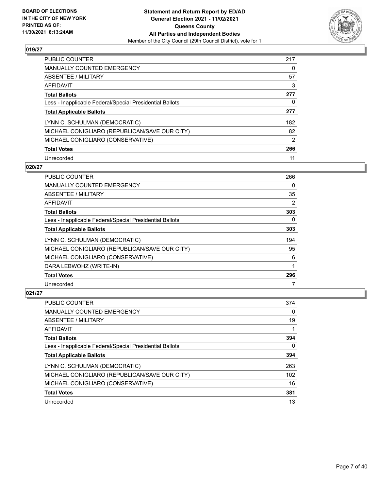

| <b>PUBLIC COUNTER</b>                                    | 217 |
|----------------------------------------------------------|-----|
| <b>MANUALLY COUNTED EMERGENCY</b>                        | 0   |
| ABSENTEE / MILITARY                                      | 57  |
| AFFIDAVIT                                                | 3   |
| <b>Total Ballots</b>                                     | 277 |
| Less - Inapplicable Federal/Special Presidential Ballots | 0   |
| <b>Total Applicable Ballots</b>                          | 277 |
| LYNN C. SCHULMAN (DEMOCRATIC)                            | 182 |
| MICHAEL CONIGLIARO (REPUBLICAN/SAVE OUR CITY)            | 82  |
| MICHAEL CONIGLIARO (CONSERVATIVE)                        | 2   |
| <b>Total Votes</b>                                       | 266 |
| Unrecorded                                               | 11  |

#### **020/27**

| PUBLIC COUNTER                                           | 266 |
|----------------------------------------------------------|-----|
| <b>MANUALLY COUNTED EMERGENCY</b>                        | 0   |
| ABSENTEE / MILITARY                                      | 35  |
| AFFIDAVIT                                                | 2   |
| <b>Total Ballots</b>                                     | 303 |
| Less - Inapplicable Federal/Special Presidential Ballots | 0   |
| <b>Total Applicable Ballots</b>                          | 303 |
| LYNN C. SCHULMAN (DEMOCRATIC)                            | 194 |
| MICHAEL CONIGLIARO (REPUBLICAN/SAVE OUR CITY)            | 95  |
| MICHAEL CONIGLIARO (CONSERVATIVE)                        | 6   |
| DARA LEBWOHZ (WRITE-IN)                                  |     |
| <b>Total Votes</b>                                       | 296 |
| Unrecorded                                               |     |

| <b>PUBLIC COUNTER</b>                                    | 374 |
|----------------------------------------------------------|-----|
| <b>MANUALLY COUNTED EMERGENCY</b>                        | 0   |
| ABSENTEE / MILITARY                                      | 19  |
| AFFIDAVIT                                                |     |
| <b>Total Ballots</b>                                     | 394 |
| Less - Inapplicable Federal/Special Presidential Ballots | 0   |
| <b>Total Applicable Ballots</b>                          | 394 |
| LYNN C. SCHULMAN (DEMOCRATIC)                            | 263 |
| MICHAEL CONIGLIARO (REPUBLICAN/SAVE OUR CITY)            | 102 |
| MICHAEL CONIGLIARO (CONSERVATIVE)                        | 16  |
| <b>Total Votes</b>                                       | 381 |
| Unrecorded                                               | 13  |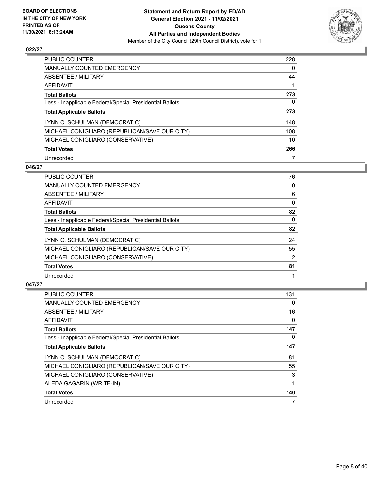

| <b>PUBLIC COUNTER</b>                                    | 228 |
|----------------------------------------------------------|-----|
| <b>MANUALLY COUNTED EMERGENCY</b>                        | 0   |
| ABSENTEE / MILITARY                                      | 44  |
| AFFIDAVIT                                                |     |
| <b>Total Ballots</b>                                     | 273 |
| Less - Inapplicable Federal/Special Presidential Ballots | 0   |
| <b>Total Applicable Ballots</b>                          | 273 |
| LYNN C. SCHULMAN (DEMOCRATIC)                            | 148 |
| MICHAEL CONIGLIARO (REPUBLICAN/SAVE OUR CITY)            | 108 |
|                                                          |     |
| MICHAEL CONIGLIARO (CONSERVATIVE)                        | 10  |
| <b>Total Votes</b>                                       | 266 |

#### **046/27**

| <b>PUBLIC COUNTER</b>                                    | 76       |
|----------------------------------------------------------|----------|
| <b>MANUALLY COUNTED EMERGENCY</b>                        | $\Omega$ |
| ABSENTEE / MILITARY                                      | 6        |
| AFFIDAVIT                                                | $\Omega$ |
| <b>Total Ballots</b>                                     | 82       |
| Less - Inapplicable Federal/Special Presidential Ballots | $\Omega$ |
| <b>Total Applicable Ballots</b>                          | 82       |
| LYNN C. SCHULMAN (DEMOCRATIC)                            | 24       |
| MICHAEL CONIGLIARO (REPUBLICAN/SAVE OUR CITY)            | 55       |
| MICHAEL CONIGLIARO (CONSERVATIVE)                        | 2        |
| <b>Total Votes</b>                                       | 81       |
| Unrecorded                                               |          |

| <b>PUBLIC COUNTER</b>                                    | 131      |
|----------------------------------------------------------|----------|
| <b>MANUALLY COUNTED EMERGENCY</b>                        | 0        |
| ABSENTEE / MILITARY                                      | 16       |
| <b>AFFIDAVIT</b>                                         | 0        |
| <b>Total Ballots</b>                                     | 147      |
| Less - Inapplicable Federal/Special Presidential Ballots | $\Omega$ |
| <b>Total Applicable Ballots</b>                          | 147      |
| LYNN C. SCHULMAN (DEMOCRATIC)                            | 81       |
| MICHAEL CONIGLIARO (REPUBLICAN/SAVE OUR CITY)            | 55       |
| MICHAEL CONIGLIARO (CONSERVATIVE)                        | 3        |
| ALEDA GAGARIN (WRITE-IN)                                 |          |
| <b>Total Votes</b>                                       | 140      |
| Unrecorded                                               |          |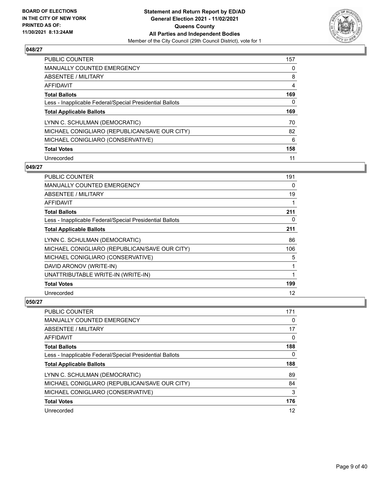

| <b>PUBLIC COUNTER</b>                                    | 157 |
|----------------------------------------------------------|-----|
| <b>MANUALLY COUNTED EMERGENCY</b>                        | 0   |
| ABSENTEE / MILITARY                                      | 8   |
| AFFIDAVIT                                                | 4   |
| <b>Total Ballots</b>                                     | 169 |
| Less - Inapplicable Federal/Special Presidential Ballots | 0   |
|                                                          |     |
| <b>Total Applicable Ballots</b>                          | 169 |
| LYNN C. SCHULMAN (DEMOCRATIC)                            | 70  |
| MICHAEL CONIGLIARO (REPUBLICAN/SAVE OUR CITY)            | 82  |
| MICHAEL CONIGLIARO (CONSERVATIVE)                        | 6   |
| <b>Total Votes</b>                                       | 158 |

### **049/27**

| <b>PUBLIC COUNTER</b>                                    | 191 |
|----------------------------------------------------------|-----|
| <b>MANUALLY COUNTED EMERGENCY</b>                        | 0   |
| ABSENTEE / MILITARY                                      | 19  |
| AFFIDAVIT                                                | 1   |
| <b>Total Ballots</b>                                     | 211 |
| Less - Inapplicable Federal/Special Presidential Ballots | 0   |
| <b>Total Applicable Ballots</b>                          | 211 |
| LYNN C. SCHULMAN (DEMOCRATIC)                            | 86  |
| MICHAEL CONIGLIARO (REPUBLICAN/SAVE OUR CITY)            | 106 |
| MICHAEL CONIGLIARO (CONSERVATIVE)                        | 5   |
| DAVID ARONOV (WRITE-IN)                                  | 1   |
| UNATTRIBUTABLE WRITE-IN (WRITE-IN)                       |     |
| <b>Total Votes</b>                                       | 199 |
| Unrecorded                                               | 12  |

| <b>PUBLIC COUNTER</b>                                    | 171 |
|----------------------------------------------------------|-----|
| MANUALLY COUNTED EMERGENCY                               | 0   |
| ABSENTEE / MILITARY                                      | 17  |
| AFFIDAVIT                                                | 0   |
| <b>Total Ballots</b>                                     | 188 |
| Less - Inapplicable Federal/Special Presidential Ballots | 0   |
|                                                          |     |
| <b>Total Applicable Ballots</b>                          | 188 |
| LYNN C. SCHULMAN (DEMOCRATIC)                            | 89  |
| MICHAEL CONIGLIARO (REPUBLICAN/SAVE OUR CITY)            | 84  |
| MICHAEL CONIGLIARO (CONSERVATIVE)                        | 3   |
| <b>Total Votes</b>                                       | 176 |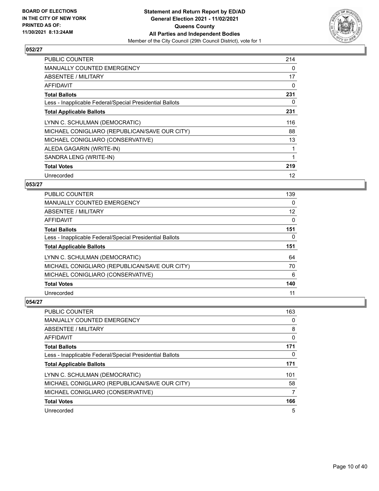

| <b>PUBLIC COUNTER</b>                                    | 214 |
|----------------------------------------------------------|-----|
| <b>MANUALLY COUNTED EMERGENCY</b>                        | 0   |
| ABSENTEE / MILITARY                                      | 17  |
| AFFIDAVIT                                                | 0   |
| <b>Total Ballots</b>                                     | 231 |
| Less - Inapplicable Federal/Special Presidential Ballots | 0   |
| <b>Total Applicable Ballots</b>                          | 231 |
| LYNN C. SCHULMAN (DEMOCRATIC)                            | 116 |
| MICHAEL CONIGLIARO (REPUBLICAN/SAVE OUR CITY)            | 88  |
| MICHAEL CONIGLIARO (CONSERVATIVE)                        | 13  |
| ALEDA GAGARIN (WRITE-IN)                                 | 1   |
| SANDRA LENG (WRITE-IN)                                   | 1   |
| <b>Total Votes</b>                                       | 219 |
| Unrecorded                                               | 12  |

# **053/27**

| <b>PUBLIC COUNTER</b>                                    | 139      |
|----------------------------------------------------------|----------|
| <b>MANUALLY COUNTED EMERGENCY</b>                        | 0        |
| ABSENTEE / MILITARY                                      | 12       |
| AFFIDAVIT                                                | $\Omega$ |
| <b>Total Ballots</b>                                     | 151      |
| Less - Inapplicable Federal/Special Presidential Ballots | 0        |
| <b>Total Applicable Ballots</b>                          | 151      |
| LYNN C. SCHULMAN (DEMOCRATIC)                            | 64       |
| MICHAEL CONIGLIARO (REPUBLICAN/SAVE OUR CITY)            | 70       |
| MICHAEL CONIGLIARO (CONSERVATIVE)                        | 6        |
| <b>Total Votes</b>                                       | 140      |
| Unrecorded                                               | 11       |

| PUBLIC COUNTER                                           | 163 |
|----------------------------------------------------------|-----|
| <b>MANUALLY COUNTED EMERGENCY</b>                        | 0   |
| ABSENTEE / MILITARY                                      | 8   |
| AFFIDAVIT                                                | 0   |
| <b>Total Ballots</b>                                     | 171 |
| Less - Inapplicable Federal/Special Presidential Ballots | 0   |
| <b>Total Applicable Ballots</b>                          | 171 |
| LYNN C. SCHULMAN (DEMOCRATIC)                            | 101 |
| MICHAEL CONIGLIARO (REPUBLICAN/SAVE OUR CITY)            | 58  |
| MICHAEL CONIGLIARO (CONSERVATIVE)                        | 7   |
| <b>Total Votes</b>                                       | 166 |
| Unrecorded                                               | 5   |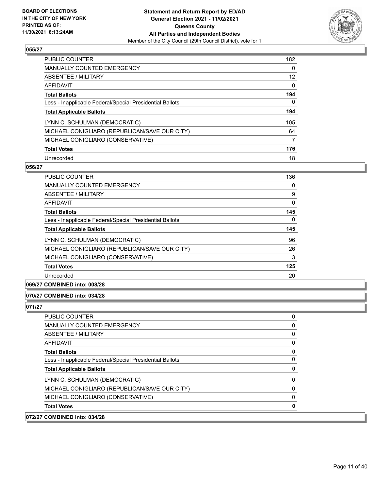

| <b>PUBLIC COUNTER</b>                                    | 182 |
|----------------------------------------------------------|-----|
| <b>MANUALLY COUNTED EMERGENCY</b>                        | 0   |
| ABSENTEE / MILITARY                                      | 12  |
| AFFIDAVIT                                                | 0   |
| <b>Total Ballots</b>                                     | 194 |
| Less - Inapplicable Federal/Special Presidential Ballots | 0   |
| <b>Total Applicable Ballots</b>                          | 194 |
| LYNN C. SCHULMAN (DEMOCRATIC)                            | 105 |
| MICHAEL CONIGLIARO (REPUBLICAN/SAVE OUR CITY)            | 64  |
| MICHAEL CONIGLIARO (CONSERVATIVE)                        | 7   |
| <b>Total Votes</b>                                       | 176 |
| Unrecorded                                               | 18  |

#### **056/27**

| <b>PUBLIC COUNTER</b>                                    | 136      |
|----------------------------------------------------------|----------|
| <b>MANUALLY COUNTED EMERGENCY</b>                        | 0        |
| ABSENTEE / MILITARY                                      | 9        |
| AFFIDAVIT                                                | $\Omega$ |
| <b>Total Ballots</b>                                     | 145      |
| Less - Inapplicable Federal/Special Presidential Ballots | $\Omega$ |
| <b>Total Applicable Ballots</b>                          | 145      |
| LYNN C. SCHULMAN (DEMOCRATIC)                            | 96       |
| MICHAEL CONIGLIARO (REPUBLICAN/SAVE OUR CITY)            | 26       |
| MICHAEL CONIGLIARO (CONSERVATIVE)                        | 3        |
| <b>Total Votes</b>                                       | 125      |
| Unrecorded                                               | 20       |

**069/27 COMBINED into: 008/28**

#### **070/27 COMBINED into: 034/28**

| <b>Total Applicable Ballots</b>               | 0        |
|-----------------------------------------------|----------|
| LYNN C. SCHULMAN (DEMOCRATIC)                 | $\Omega$ |
| MICHAEL CONIGLIARO (REPUBLICAN/SAVE OUR CITY) | $\Omega$ |
| MICHAEL CONIGLIARO (CONSERVATIVE)             | $\Omega$ |
|                                               |          |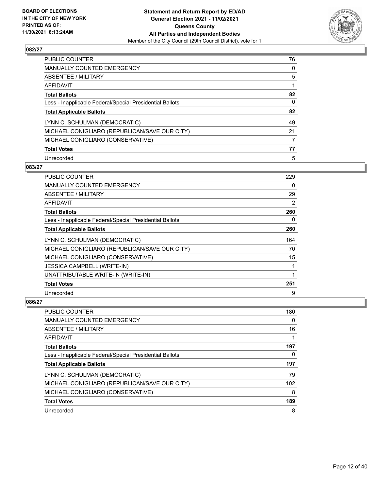

| PUBLIC COUNTER                                           | 76 |
|----------------------------------------------------------|----|
| <b>MANUALLY COUNTED EMERGENCY</b>                        | 0  |
| ABSENTEE / MILITARY                                      | 5  |
| AFFIDAVIT                                                |    |
| <b>Total Ballots</b>                                     | 82 |
| Less - Inapplicable Federal/Special Presidential Ballots | 0  |
| <b>Total Applicable Ballots</b>                          | 82 |
| LYNN C. SCHULMAN (DEMOCRATIC)                            | 49 |
| MICHAEL CONIGLIARO (REPUBLICAN/SAVE OUR CITY)            | 21 |
| MICHAEL CONIGLIARO (CONSERVATIVE)                        |    |
| <b>Total Votes</b>                                       | 77 |
| Unrecorded                                               | 5  |

#### **083/27**

| <b>PUBLIC COUNTER</b>                                    | 229 |
|----------------------------------------------------------|-----|
| <b>MANUALLY COUNTED EMERGENCY</b>                        | 0   |
| ABSENTEE / MILITARY                                      | 29  |
| AFFIDAVIT                                                | 2   |
| <b>Total Ballots</b>                                     | 260 |
| Less - Inapplicable Federal/Special Presidential Ballots | 0   |
| <b>Total Applicable Ballots</b>                          | 260 |
| LYNN C. SCHULMAN (DEMOCRATIC)                            | 164 |
| MICHAEL CONIGLIARO (REPUBLICAN/SAVE OUR CITY)            | 70  |
| MICHAEL CONIGLIARO (CONSERVATIVE)                        | 15  |
| <b>JESSICA CAMPBELL (WRITE-IN)</b>                       | 1   |
| UNATTRIBUTABLE WRITE-IN (WRITE-IN)                       | 1   |
| <b>Total Votes</b>                                       | 251 |
| Unrecorded                                               | 9   |

| PUBLIC COUNTER                                           | 180 |
|----------------------------------------------------------|-----|
| <b>MANUALLY COUNTED EMERGENCY</b>                        | 0   |
| ABSENTEE / MILITARY                                      | 16  |
| AFFIDAVIT                                                |     |
| <b>Total Ballots</b>                                     | 197 |
| Less - Inapplicable Federal/Special Presidential Ballots | 0   |
| <b>Total Applicable Ballots</b>                          | 197 |
| LYNN C. SCHULMAN (DEMOCRATIC)                            | 79  |
| MICHAEL CONIGLIARO (REPUBLICAN/SAVE OUR CITY)            | 102 |
| MICHAEL CONIGLIARO (CONSERVATIVE)                        | 8   |
| <b>Total Votes</b>                                       | 189 |
| Unrecorded                                               | 8   |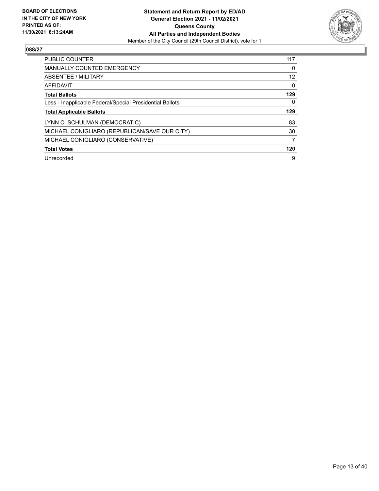

| PUBLIC COUNTER                                           | 117      |
|----------------------------------------------------------|----------|
| <b>MANUALLY COUNTED EMERGENCY</b>                        | 0        |
| ABSENTEE / MILITARY                                      | 12       |
| <b>AFFIDAVIT</b>                                         | $\Omega$ |
| <b>Total Ballots</b>                                     | 129      |
| Less - Inapplicable Federal/Special Presidential Ballots | 0        |
| <b>Total Applicable Ballots</b>                          | 129      |
| LYNN C. SCHULMAN (DEMOCRATIC)                            | 83       |
| MICHAEL CONIGLIARO (REPUBLICAN/SAVE OUR CITY)            | 30       |
| MICHAEL CONIGLIARO (CONSERVATIVE)                        | 7        |
| <b>Total Votes</b>                                       | 120      |
| Unrecorded                                               | 9        |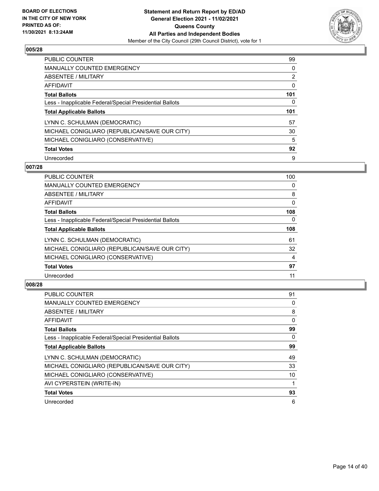

| PUBLIC COUNTER                                           | 99             |
|----------------------------------------------------------|----------------|
| <b>MANUALLY COUNTED EMERGENCY</b>                        | 0              |
| ABSENTEE / MILITARY                                      | $\overline{2}$ |
| AFFIDAVIT                                                | 0              |
| <b>Total Ballots</b>                                     | 101            |
| Less - Inapplicable Federal/Special Presidential Ballots | 0              |
| <b>Total Applicable Ballots</b>                          | 101            |
| LYNN C. SCHULMAN (DEMOCRATIC)                            | 57             |
| MICHAEL CONIGLIARO (REPUBLICAN/SAVE OUR CITY)            | 30             |
| MICHAEL CONIGLIARO (CONSERVATIVE)                        | 5              |
| <b>Total Votes</b>                                       | 92             |
| Unrecorded                                               | 9              |

#### **007/28**

| <b>PUBLIC COUNTER</b>                                    | 100      |
|----------------------------------------------------------|----------|
| <b>MANUALLY COUNTED EMERGENCY</b>                        | 0        |
| ABSENTEE / MILITARY                                      | 8        |
| <b>AFFIDAVIT</b>                                         | 0        |
| <b>Total Ballots</b>                                     | 108      |
| Less - Inapplicable Federal/Special Presidential Ballots | $\Omega$ |
| <b>Total Applicable Ballots</b>                          | 108      |
| LYNN C. SCHULMAN (DEMOCRATIC)                            | 61       |
| MICHAEL CONIGLIARO (REPUBLICAN/SAVE OUR CITY)            | 32       |
| MICHAEL CONIGLIARO (CONSERVATIVE)                        | 4        |
| <b>Total Votes</b>                                       | 97       |
| Unrecorded                                               | 11       |

| <b>PUBLIC COUNTER</b>                                    | 91 |
|----------------------------------------------------------|----|
| <b>MANUALLY COUNTED EMERGENCY</b>                        | 0  |
| ABSENTEE / MILITARY                                      | 8  |
| AFFIDAVIT                                                | 0  |
| <b>Total Ballots</b>                                     | 99 |
| Less - Inapplicable Federal/Special Presidential Ballots | 0  |
| <b>Total Applicable Ballots</b>                          | 99 |
| LYNN C. SCHULMAN (DEMOCRATIC)                            | 49 |
| MICHAEL CONIGLIARO (REPUBLICAN/SAVE OUR CITY)            | 33 |
| MICHAEL CONIGLIARO (CONSERVATIVE)                        | 10 |
| AVI CYPERSTEIN (WRITE-IN)                                |    |
| <b>Total Votes</b>                                       | 93 |
| Unrecorded                                               | 6  |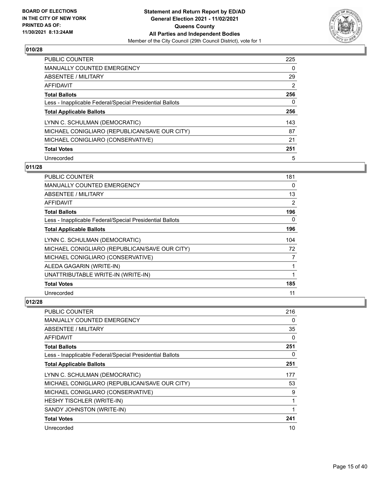

| <b>PUBLIC COUNTER</b>                                    | 225 |
|----------------------------------------------------------|-----|
| <b>MANUALLY COUNTED EMERGENCY</b>                        | 0   |
| ABSENTEE / MILITARY                                      | 29  |
| AFFIDAVIT                                                | 2   |
| <b>Total Ballots</b>                                     | 256 |
| Less - Inapplicable Federal/Special Presidential Ballots | 0   |
| <b>Total Applicable Ballots</b>                          | 256 |
| LYNN C. SCHULMAN (DEMOCRATIC)                            | 143 |
| MICHAEL CONIGLIARO (REPUBLICAN/SAVE OUR CITY)            | 87  |
| MICHAEL CONIGLIARO (CONSERVATIVE)                        | 21  |
| <b>Total Votes</b>                                       | 251 |
| Unrecorded                                               | 5   |

# **011/28**

| <b>PUBLIC COUNTER</b>                                    | 181 |
|----------------------------------------------------------|-----|
| MANUALLY COUNTED EMERGENCY                               | 0   |
| ABSENTEE / MILITARY                                      | 13  |
| AFFIDAVIT                                                | 2   |
| <b>Total Ballots</b>                                     | 196 |
| Less - Inapplicable Federal/Special Presidential Ballots | 0   |
| <b>Total Applicable Ballots</b>                          | 196 |
| LYNN C. SCHULMAN (DEMOCRATIC)                            | 104 |
| MICHAEL CONIGLIARO (REPUBLICAN/SAVE OUR CITY)            | 72  |
| MICHAEL CONIGLIARO (CONSERVATIVE)                        | 7   |
| ALEDA GAGARIN (WRITE-IN)                                 | 1   |
| UNATTRIBUTABLE WRITE-IN (WRITE-IN)                       | 1   |
| <b>Total Votes</b>                                       | 185 |
| Unrecorded                                               | 11  |

| PUBLIC COUNTER                                           | 216      |
|----------------------------------------------------------|----------|
| <b>MANUALLY COUNTED EMERGENCY</b>                        | 0        |
| ABSENTEE / MILITARY                                      | 35       |
| AFFIDAVIT                                                | $\Omega$ |
| <b>Total Ballots</b>                                     | 251      |
| Less - Inapplicable Federal/Special Presidential Ballots | $\Omega$ |
| <b>Total Applicable Ballots</b>                          | 251      |
| LYNN C. SCHULMAN (DEMOCRATIC)                            | 177      |
| MICHAEL CONIGLIARO (REPUBLICAN/SAVE OUR CITY)            | 53       |
| MICHAEL CONIGLIARO (CONSERVATIVE)                        | 9        |
| HESHY TISCHLER (WRITE-IN)                                |          |
| SANDY JOHNSTON (WRITE-IN)                                |          |
| <b>Total Votes</b>                                       | 241      |
| Unrecorded                                               | 10       |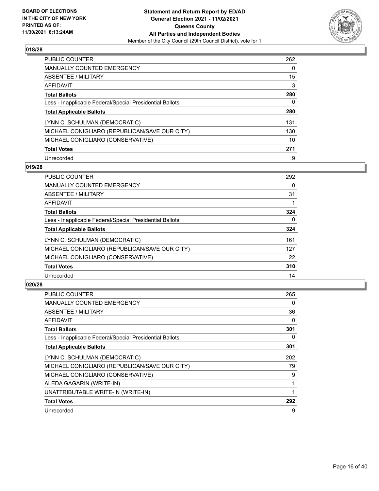

| <b>PUBLIC COUNTER</b>                                    | 262 |
|----------------------------------------------------------|-----|
| <b>MANUALLY COUNTED EMERGENCY</b>                        | 0   |
| ABSENTEE / MILITARY                                      | 15  |
| AFFIDAVIT                                                | 3   |
| <b>Total Ballots</b>                                     | 280 |
| Less - Inapplicable Federal/Special Presidential Ballots | 0   |
| <b>Total Applicable Ballots</b>                          | 280 |
| LYNN C. SCHULMAN (DEMOCRATIC)                            | 131 |
| MICHAEL CONIGLIARO (REPUBLICAN/SAVE OUR CITY)            | 130 |
| MICHAEL CONIGLIARO (CONSERVATIVE)                        | 10  |
| <b>Total Votes</b>                                       | 271 |
| Unrecorded                                               | 9   |

#### **019/28**

| <b>PUBLIC COUNTER</b>                                    | 292      |
|----------------------------------------------------------|----------|
| <b>MANUALLY COUNTED EMERGENCY</b>                        | 0        |
| ABSENTEE / MILITARY                                      | 31       |
| <b>AFFIDAVIT</b>                                         |          |
| <b>Total Ballots</b>                                     | 324      |
| Less - Inapplicable Federal/Special Presidential Ballots | $\Omega$ |
| <b>Total Applicable Ballots</b>                          | 324      |
| LYNN C. SCHULMAN (DEMOCRATIC)                            | 161      |
| MICHAEL CONIGLIARO (REPUBLICAN/SAVE OUR CITY)            | 127      |
| MICHAEL CONIGLIARO (CONSERVATIVE)                        | 22       |
| <b>Total Votes</b>                                       | 310      |
| Unrecorded                                               | 14       |

| <b>PUBLIC COUNTER</b>                                    | 265 |
|----------------------------------------------------------|-----|
| <b>MANUALLY COUNTED EMERGENCY</b>                        | 0   |
| ABSENTEE / MILITARY                                      | 36  |
| AFFIDAVIT                                                | 0   |
| <b>Total Ballots</b>                                     | 301 |
| Less - Inapplicable Federal/Special Presidential Ballots | 0   |
| <b>Total Applicable Ballots</b>                          | 301 |
| LYNN C. SCHULMAN (DEMOCRATIC)                            | 202 |
| MICHAEL CONIGLIARO (REPUBLICAN/SAVE OUR CITY)            | 79  |
| MICHAEL CONIGLIARO (CONSERVATIVE)                        | 9   |
| ALEDA GAGARIN (WRITE-IN)                                 | 1   |
| UNATTRIBUTABLE WRITE-IN (WRITE-IN)                       | 1   |
| <b>Total Votes</b>                                       | 292 |
| Unrecorded                                               | 9   |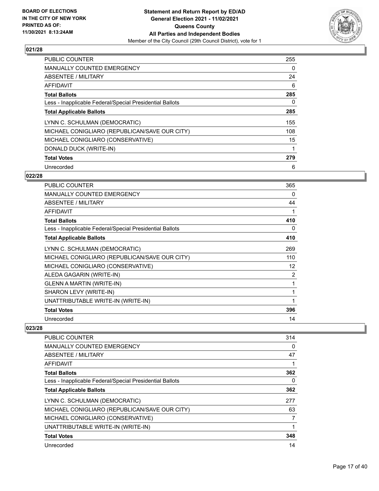

| <b>PUBLIC COUNTER</b>                                    | 255 |
|----------------------------------------------------------|-----|
| <b>MANUALLY COUNTED EMERGENCY</b>                        | 0   |
| ABSENTEE / MILITARY                                      | 24  |
| AFFIDAVIT                                                | 6   |
| <b>Total Ballots</b>                                     | 285 |
| Less - Inapplicable Federal/Special Presidential Ballots | 0   |
| <b>Total Applicable Ballots</b>                          | 285 |
| LYNN C. SCHULMAN (DEMOCRATIC)                            | 155 |
| MICHAEL CONIGLIARO (REPUBLICAN/SAVE OUR CITY)            | 108 |
| MICHAEL CONIGLIARO (CONSERVATIVE)                        | 15  |
| DONALD DUCK (WRITE-IN)                                   |     |
| <b>Total Votes</b>                                       | 279 |
| Unrecorded                                               | 6   |

# **022/28**

| <b>PUBLIC COUNTER</b>                                    | 365            |
|----------------------------------------------------------|----------------|
| <b>MANUALLY COUNTED EMERGENCY</b>                        | 0              |
| ABSENTEE / MILITARY                                      | 44             |
| <b>AFFIDAVIT</b>                                         | 1              |
| <b>Total Ballots</b>                                     | 410            |
| Less - Inapplicable Federal/Special Presidential Ballots | 0              |
| <b>Total Applicable Ballots</b>                          | 410            |
| LYNN C. SCHULMAN (DEMOCRATIC)                            | 269            |
| MICHAEL CONIGLIARO (REPUBLICAN/SAVE OUR CITY)            | 110            |
| MICHAEL CONIGLIARO (CONSERVATIVE)                        | 12             |
| ALEDA GAGARIN (WRITE-IN)                                 | $\overline{2}$ |
| <b>GLENN A MARTIN (WRITE-IN)</b>                         | 1              |
| SHARON LEVY (WRITE-IN)                                   | 1              |
| UNATTRIBUTABLE WRITE-IN (WRITE-IN)                       | 1              |
| <b>Total Votes</b>                                       | 396            |
| Unrecorded                                               | 14             |

| <b>PUBLIC COUNTER</b>                                    | 314 |
|----------------------------------------------------------|-----|
| <b>MANUALLY COUNTED EMERGENCY</b>                        | 0   |
| ABSENTEE / MILITARY                                      | 47  |
| <b>AFFIDAVIT</b>                                         |     |
| <b>Total Ballots</b>                                     | 362 |
| Less - Inapplicable Federal/Special Presidential Ballots | 0   |
| <b>Total Applicable Ballots</b>                          | 362 |
| LYNN C. SCHULMAN (DEMOCRATIC)                            | 277 |
| MICHAEL CONIGLIARO (REPUBLICAN/SAVE OUR CITY)            | 63  |
| MICHAEL CONIGLIARO (CONSERVATIVE)                        | 7   |
| UNATTRIBUTABLE WRITE-IN (WRITE-IN)                       |     |
| <b>Total Votes</b>                                       | 348 |
| Unrecorded                                               | 14  |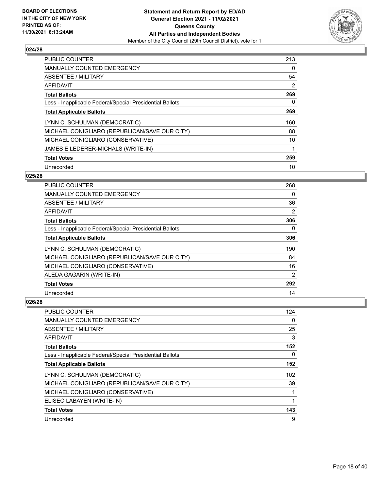

| PUBLIC COUNTER                                           | 213      |
|----------------------------------------------------------|----------|
| <b>MANUALLY COUNTED EMERGENCY</b>                        | $\Omega$ |
| ABSENTEE / MILITARY                                      | 54       |
| <b>AFFIDAVIT</b>                                         | 2        |
| <b>Total Ballots</b>                                     | 269      |
| Less - Inapplicable Federal/Special Presidential Ballots | 0        |
| <b>Total Applicable Ballots</b>                          | 269      |
| LYNN C. SCHULMAN (DEMOCRATIC)                            | 160      |
| MICHAEL CONIGLIARO (REPUBLICAN/SAVE OUR CITY)            | 88       |
| MICHAEL CONIGLIARO (CONSERVATIVE)                        | 10       |
| JAMES E LEDERER-MICHALS (WRITE-IN)                       | 1        |
| <b>Total Votes</b>                                       | 259      |
| Unrecorded                                               | 10       |

# **025/28**

| <b>PUBLIC COUNTER</b>                                    | 268      |
|----------------------------------------------------------|----------|
| MANUALLY COUNTED EMERGENCY                               | $\Omega$ |
| ABSENTEE / MILITARY                                      | 36       |
| AFFIDAVIT                                                | 2        |
| <b>Total Ballots</b>                                     | 306      |
| Less - Inapplicable Federal/Special Presidential Ballots | 0        |
| <b>Total Applicable Ballots</b>                          | 306      |
| LYNN C. SCHULMAN (DEMOCRATIC)                            | 190      |
| MICHAEL CONIGLIARO (REPUBLICAN/SAVE OUR CITY)            | 84       |
| MICHAEL CONIGLIARO (CONSERVATIVE)                        | 16       |
| ALEDA GAGARIN (WRITE-IN)                                 | 2        |
| <b>Total Votes</b>                                       | 292      |
| Unrecorded                                               | 14       |

| PUBLIC COUNTER                                           | 124 |
|----------------------------------------------------------|-----|
| <b>MANUALLY COUNTED EMERGENCY</b>                        | 0   |
| ABSENTEE / MILITARY                                      | 25  |
| AFFIDAVIT                                                | 3   |
| <b>Total Ballots</b>                                     | 152 |
| Less - Inapplicable Federal/Special Presidential Ballots | 0   |
| <b>Total Applicable Ballots</b>                          | 152 |
| LYNN C. SCHULMAN (DEMOCRATIC)                            | 102 |
| MICHAEL CONIGLIARO (REPUBLICAN/SAVE OUR CITY)            | 39  |
| MICHAEL CONIGLIARO (CONSERVATIVE)                        | 1   |
| ELISEO LABAYEN (WRITE-IN)                                | 1   |
| <b>Total Votes</b>                                       | 143 |
| Unrecorded                                               | 9   |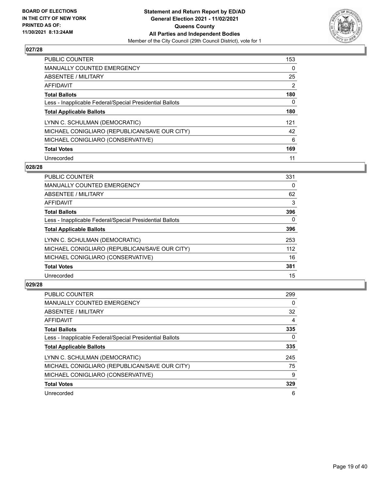

| <b>PUBLIC COUNTER</b>                                    | 153 |
|----------------------------------------------------------|-----|
| MANUALLY COUNTED EMERGENCY                               | 0   |
| ABSENTEE / MILITARY                                      | 25  |
| AFFIDAVIT                                                | 2   |
| <b>Total Ballots</b>                                     | 180 |
| Less - Inapplicable Federal/Special Presidential Ballots | 0   |
| <b>Total Applicable Ballots</b>                          | 180 |
| LYNN C. SCHULMAN (DEMOCRATIC)                            | 121 |
| MICHAEL CONIGLIARO (REPUBLICAN/SAVE OUR CITY)            | 42  |
| MICHAEL CONIGLIARO (CONSERVATIVE)                        | 6   |
| <b>Total Votes</b>                                       | 169 |
| Unrecorded                                               | 11  |

#### **028/28**

| <b>PUBLIC COUNTER</b>                                    | 331      |
|----------------------------------------------------------|----------|
| <b>MANUALLY COUNTED EMERGENCY</b>                        | 0        |
| ABSENTEE / MILITARY                                      | 62       |
| <b>AFFIDAVIT</b>                                         | 3        |
| <b>Total Ballots</b>                                     | 396      |
| Less - Inapplicable Federal/Special Presidential Ballots | $\Omega$ |
| <b>Total Applicable Ballots</b>                          | 396      |
| LYNN C. SCHULMAN (DEMOCRATIC)                            | 253      |
| MICHAEL CONIGLIARO (REPUBLICAN/SAVE OUR CITY)            | 112      |
| MICHAEL CONIGLIARO (CONSERVATIVE)                        | 16       |
| <b>Total Votes</b>                                       | 381      |
| Unrecorded                                               | 15       |

| <b>PUBLIC COUNTER</b>                                    | 299 |
|----------------------------------------------------------|-----|
| <b>MANUALLY COUNTED EMERGENCY</b>                        | 0   |
| ABSENTEE / MILITARY                                      | 32  |
| <b>AFFIDAVIT</b>                                         | 4   |
| <b>Total Ballots</b>                                     | 335 |
| Less - Inapplicable Federal/Special Presidential Ballots | 0   |
| <b>Total Applicable Ballots</b>                          | 335 |
| LYNN C. SCHULMAN (DEMOCRATIC)                            | 245 |
| MICHAEL CONIGLIARO (REPUBLICAN/SAVE OUR CITY)            | 75  |
| MICHAEL CONIGLIARO (CONSERVATIVE)                        | 9   |
| <b>Total Votes</b>                                       | 329 |
| Unrecorded                                               | 6   |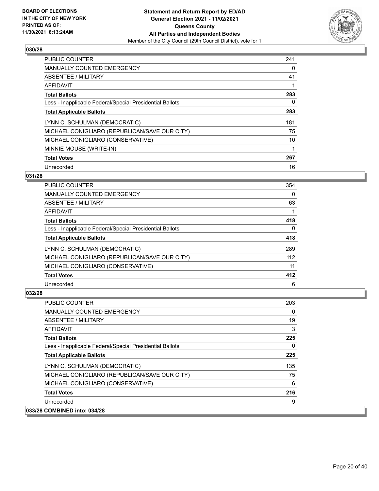

| <b>PUBLIC COUNTER</b>                                    | 241 |
|----------------------------------------------------------|-----|
| <b>MANUALLY COUNTED EMERGENCY</b>                        | 0   |
| ABSENTEE / MILITARY                                      | 41  |
| AFFIDAVIT                                                |     |
| <b>Total Ballots</b>                                     | 283 |
| Less - Inapplicable Federal/Special Presidential Ballots | 0   |
| <b>Total Applicable Ballots</b>                          | 283 |
| LYNN C. SCHULMAN (DEMOCRATIC)                            | 181 |
| MICHAEL CONIGLIARO (REPUBLICAN/SAVE OUR CITY)            | 75  |
| MICHAEL CONIGLIARO (CONSERVATIVE)                        | 10  |
| MINNIE MOUSE (WRITE-IN)                                  |     |
| <b>Total Votes</b>                                       | 267 |
| Unrecorded                                               | 16  |

# **031/28**

| <b>PUBLIC COUNTER</b>                                    | 354 |
|----------------------------------------------------------|-----|
| <b>MANUALLY COUNTED EMERGENCY</b>                        | 0   |
| ABSENTEE / MILITARY                                      | 63  |
| AFFIDAVIT                                                |     |
| <b>Total Ballots</b>                                     | 418 |
| Less - Inapplicable Federal/Special Presidential Ballots | 0   |
| <b>Total Applicable Ballots</b>                          | 418 |
| LYNN C. SCHULMAN (DEMOCRATIC)                            | 289 |
| MICHAEL CONIGLIARO (REPUBLICAN/SAVE OUR CITY)            | 112 |
| MICHAEL CONIGLIARO (CONSERVATIVE)                        | 11  |
| <b>Total Votes</b>                                       | 412 |
| Unrecorded                                               | 6   |

| PUBLIC COUNTER                                           | 203 |
|----------------------------------------------------------|-----|
| <b>MANUALLY COUNTED EMERGENCY</b>                        | 0   |
| ABSENTEE / MILITARY                                      | 19  |
| AFFIDAVIT                                                | 3   |
| <b>Total Ballots</b>                                     | 225 |
| Less - Inapplicable Federal/Special Presidential Ballots | 0   |
| <b>Total Applicable Ballots</b>                          | 225 |
| LYNN C. SCHULMAN (DEMOCRATIC)                            | 135 |
| MICHAEL CONIGLIARO (REPUBLICAN/SAVE OUR CITY)            | 75  |
| MICHAEL CONIGLIARO (CONSERVATIVE)                        | 6   |
| <b>Total Votes</b>                                       | 216 |
| Unrecorded                                               | 9   |
| 033/28 COMBINED into: 034/28                             |     |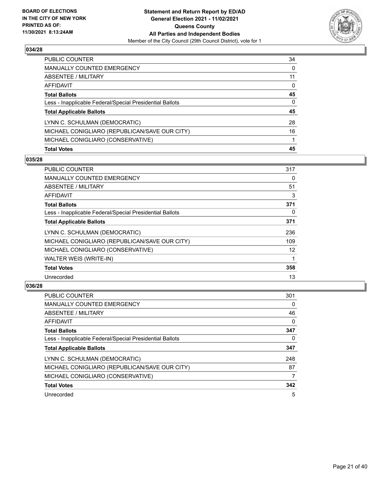

| <b>Total Votes</b>                                       | 45       |
|----------------------------------------------------------|----------|
| MICHAEL CONIGLIARO (CONSERVATIVE)                        |          |
| MICHAEL CONIGLIARO (REPUBLICAN/SAVE OUR CITY)            | 16       |
| LYNN C. SCHULMAN (DEMOCRATIC)                            | 28       |
| <b>Total Applicable Ballots</b>                          | 45       |
| Less - Inapplicable Federal/Special Presidential Ballots | $\Omega$ |
| <b>Total Ballots</b>                                     | 45       |
| AFFIDAVIT                                                | $\Omega$ |
| ABSENTEE / MILITARY                                      | 11       |
| <b>MANUALLY COUNTED EMERGENCY</b>                        | $\Omega$ |
| PUBLIC COUNTER                                           | 34       |

# **035/28**

| <b>PUBLIC COUNTER</b>                                    | 317               |
|----------------------------------------------------------|-------------------|
| <b>MANUALLY COUNTED EMERGENCY</b>                        | 0                 |
| ABSENTEE / MILITARY                                      | 51                |
| AFFIDAVIT                                                | 3                 |
| <b>Total Ballots</b>                                     | 371               |
| Less - Inapplicable Federal/Special Presidential Ballots | 0                 |
| <b>Total Applicable Ballots</b>                          | 371               |
| LYNN C. SCHULMAN (DEMOCRATIC)                            | 236               |
| MICHAEL CONIGLIARO (REPUBLICAN/SAVE OUR CITY)            | 109               |
| MICHAEL CONIGLIARO (CONSERVATIVE)                        | $12 \overline{ }$ |
| <b>WALTER WEIS (WRITE-IN)</b>                            |                   |
| <b>Total Votes</b>                                       | 358               |
| Unrecorded                                               | 13                |

| <b>PUBLIC COUNTER</b>                                    | 301      |
|----------------------------------------------------------|----------|
| <b>MANUALLY COUNTED EMERGENCY</b>                        | $\Omega$ |
| <b>ABSENTEE / MILITARY</b>                               | 46       |
| AFFIDAVIT                                                | 0        |
| <b>Total Ballots</b>                                     | 347      |
| Less - Inapplicable Federal/Special Presidential Ballots | 0        |
| <b>Total Applicable Ballots</b>                          | 347      |
| LYNN C. SCHULMAN (DEMOCRATIC)                            | 248      |
| MICHAEL CONIGLIARO (REPUBLICAN/SAVE OUR CITY)            | 87       |
| MICHAEL CONIGLIARO (CONSERVATIVE)                        | 7        |
| <b>Total Votes</b>                                       | 342      |
| Unrecorded                                               | 5        |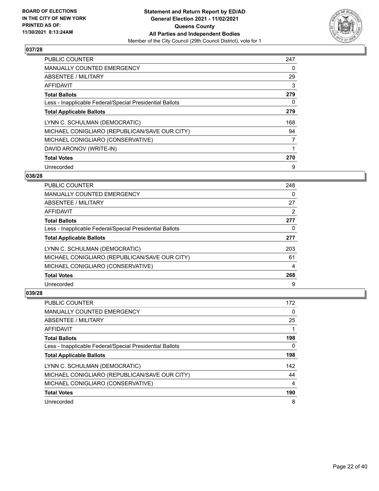

| <b>PUBLIC COUNTER</b>                                    | 247 |
|----------------------------------------------------------|-----|
| MANUALLY COUNTED EMERGENCY                               | 0   |
| ABSENTEE / MILITARY                                      | 29  |
| AFFIDAVIT                                                | 3   |
| <b>Total Ballots</b>                                     | 279 |
| Less - Inapplicable Federal/Special Presidential Ballots | 0   |
| <b>Total Applicable Ballots</b>                          | 279 |
| LYNN C. SCHULMAN (DEMOCRATIC)                            | 168 |
| MICHAEL CONIGLIARO (REPUBLICAN/SAVE OUR CITY)            | 94  |
| MICHAEL CONIGLIARO (CONSERVATIVE)                        | 7   |
| DAVID ARONOV (WRITE-IN)                                  | 1   |
| <b>Total Votes</b>                                       | 270 |
| Unrecorded                                               | 9   |

### **038/28**

| <b>PUBLIC COUNTER</b>                                    | 248 |
|----------------------------------------------------------|-----|
| <b>MANUALLY COUNTED EMERGENCY</b>                        | 0   |
| ABSENTEE / MILITARY                                      | 27  |
| <b>AFFIDAVIT</b>                                         | 2   |
| <b>Total Ballots</b>                                     | 277 |
| Less - Inapplicable Federal/Special Presidential Ballots | 0   |
| <b>Total Applicable Ballots</b>                          | 277 |
| LYNN C. SCHULMAN (DEMOCRATIC)                            | 203 |
| MICHAEL CONIGLIARO (REPUBLICAN/SAVE OUR CITY)            | 61  |
| MICHAEL CONIGLIARO (CONSERVATIVE)                        | 4   |
| <b>Total Votes</b>                                       | 268 |
| Unrecorded                                               | 9   |

| <b>PUBLIC COUNTER</b>                                    | 172 |
|----------------------------------------------------------|-----|
| <b>MANUALLY COUNTED EMERGENCY</b>                        | 0   |
| ABSENTEE / MILITARY                                      | 25  |
| AFFIDAVIT                                                |     |
| <b>Total Ballots</b>                                     | 198 |
| Less - Inapplicable Federal/Special Presidential Ballots | 0   |
| <b>Total Applicable Ballots</b>                          | 198 |
| LYNN C. SCHULMAN (DEMOCRATIC)                            | 142 |
| MICHAEL CONIGLIARO (REPUBLICAN/SAVE OUR CITY)            | 44  |
| MICHAEL CONIGLIARO (CONSERVATIVE)                        | 4   |
| <b>Total Votes</b>                                       | 190 |
| Unrecorded                                               | 8   |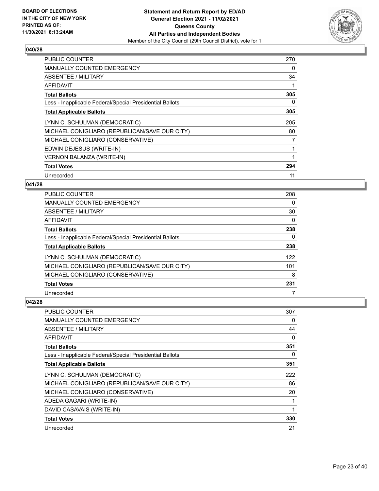

| <b>PUBLIC COUNTER</b>                                    | 270 |
|----------------------------------------------------------|-----|
| <b>MANUALLY COUNTED EMERGENCY</b>                        | 0   |
| ABSENTEE / MILITARY                                      | 34  |
| AFFIDAVIT                                                |     |
| <b>Total Ballots</b>                                     | 305 |
| Less - Inapplicable Federal/Special Presidential Ballots | 0   |
| <b>Total Applicable Ballots</b>                          | 305 |
| LYNN C. SCHULMAN (DEMOCRATIC)                            | 205 |
| MICHAEL CONIGLIARO (REPUBLICAN/SAVE OUR CITY)            | 80  |
| MICHAEL CONIGLIARO (CONSERVATIVE)                        | 7   |
| EDWIN DEJESUS (WRITE-IN)                                 | 1   |
| <b>VERNON BALANZA (WRITE-IN)</b>                         |     |
| <b>Total Votes</b>                                       | 294 |
| Unrecorded                                               | 11  |

# **041/28**

| PUBLIC COUNTER                                           | 208      |
|----------------------------------------------------------|----------|
| <b>MANUALLY COUNTED EMERGENCY</b>                        | 0        |
| ABSENTEE / MILITARY                                      | 30       |
| AFFIDAVIT                                                | $\Omega$ |
| <b>Total Ballots</b>                                     | 238      |
| Less - Inapplicable Federal/Special Presidential Ballots | 0        |
| <b>Total Applicable Ballots</b>                          | 238      |
| LYNN C. SCHULMAN (DEMOCRATIC)                            | 122      |
| MICHAEL CONIGLIARO (REPUBLICAN/SAVE OUR CITY)            | 101      |
| MICHAEL CONIGLIARO (CONSERVATIVE)                        | 8        |
| <b>Total Votes</b>                                       | 231      |
| Unrecorded                                               |          |

| <b>PUBLIC COUNTER</b>                                    | 307 |
|----------------------------------------------------------|-----|
| <b>MANUALLY COUNTED EMERGENCY</b>                        | 0   |
| ABSENTEE / MILITARY                                      | 44  |
| AFFIDAVIT                                                | 0   |
| <b>Total Ballots</b>                                     | 351 |
| Less - Inapplicable Federal/Special Presidential Ballots | 0   |
| <b>Total Applicable Ballots</b>                          | 351 |
| LYNN C. SCHULMAN (DEMOCRATIC)                            | 222 |
| MICHAEL CONIGLIARO (REPUBLICAN/SAVE OUR CITY)            | 86  |
| MICHAEL CONIGLIARO (CONSERVATIVE)                        | 20  |
| ADEDA GAGARI (WRITE-IN)                                  | 1   |
| DAVID CASAVAIS (WRITE-IN)                                | 1   |
| <b>Total Votes</b>                                       | 330 |
| Unrecorded                                               | 21  |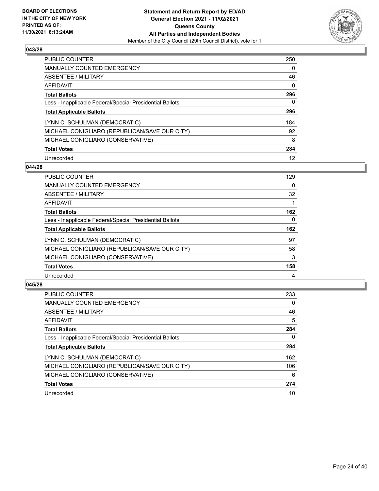

| <b>PUBLIC COUNTER</b>                                    | 250      |
|----------------------------------------------------------|----------|
| <b>MANUALLY COUNTED EMERGENCY</b>                        | $\Omega$ |
| ABSENTEE / MILITARY                                      | 46       |
| AFFIDAVIT                                                | $\Omega$ |
| <b>Total Ballots</b>                                     | 296      |
| Less - Inapplicable Federal/Special Presidential Ballots | 0        |
| <b>Total Applicable Ballots</b>                          | 296      |
| LYNN C. SCHULMAN (DEMOCRATIC)                            | 184      |
| MICHAEL CONIGLIARO (REPUBLICAN/SAVE OUR CITY)            | 92       |
| MICHAEL CONIGLIARO (CONSERVATIVE)                        | 8        |
| <b>Total Votes</b>                                       | 284      |
| Unrecorded                                               | 12       |

#### **044/28**

| <b>PUBLIC COUNTER</b>                                    | 129      |
|----------------------------------------------------------|----------|
| <b>MANUALLY COUNTED EMERGENCY</b>                        | $\Omega$ |
| ABSENTEE / MILITARY                                      | 32       |
| <b>AFFIDAVIT</b>                                         |          |
| <b>Total Ballots</b>                                     | 162      |
| Less - Inapplicable Federal/Special Presidential Ballots | 0        |
| <b>Total Applicable Ballots</b>                          | 162      |
| LYNN C. SCHULMAN (DEMOCRATIC)                            | 97       |
| MICHAEL CONIGLIARO (REPUBLICAN/SAVE OUR CITY)            | 58       |
| MICHAEL CONIGLIARO (CONSERVATIVE)                        | 3        |
| <b>Total Votes</b>                                       | 158      |
| Unrecorded                                               | 4        |

| <b>PUBLIC COUNTER</b>                                    | 233 |
|----------------------------------------------------------|-----|
| <b>MANUALLY COUNTED EMERGENCY</b>                        | 0   |
| ABSENTEE / MILITARY                                      | 46  |
| <b>AFFIDAVIT</b>                                         | 5   |
| <b>Total Ballots</b>                                     | 284 |
| Less - Inapplicable Federal/Special Presidential Ballots | 0   |
| <b>Total Applicable Ballots</b>                          | 284 |
| LYNN C. SCHULMAN (DEMOCRATIC)                            | 162 |
| MICHAEL CONIGLIARO (REPUBLICAN/SAVE OUR CITY)            | 106 |
| MICHAEL CONIGLIARO (CONSERVATIVE)                        | 6   |
| <b>Total Votes</b>                                       | 274 |
| Unrecorded                                               | 10  |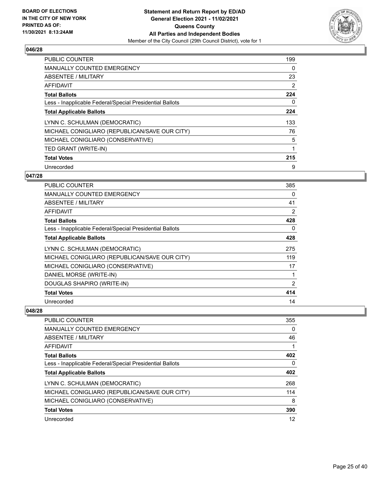

| <b>PUBLIC COUNTER</b>                                    | 199            |
|----------------------------------------------------------|----------------|
| <b>MANUALLY COUNTED EMERGENCY</b>                        | 0              |
| ABSENTEE / MILITARY                                      | 23             |
| AFFIDAVIT                                                | $\overline{2}$ |
| <b>Total Ballots</b>                                     | 224            |
| Less - Inapplicable Federal/Special Presidential Ballots | 0              |
| <b>Total Applicable Ballots</b>                          | 224            |
| LYNN C. SCHULMAN (DEMOCRATIC)                            | 133            |
| MICHAEL CONIGLIARO (REPUBLICAN/SAVE OUR CITY)            | 76             |
| MICHAEL CONIGLIARO (CONSERVATIVE)                        | 5              |
| TED GRANT (WRITE-IN)                                     | 1              |
| <b>Total Votes</b>                                       | 215            |
| Unrecorded                                               | 9              |

# **047/28**

| PUBLIC COUNTER                                           | 385 |
|----------------------------------------------------------|-----|
| <b>MANUALLY COUNTED EMERGENCY</b>                        | 0   |
| ABSENTEE / MILITARY                                      | 41  |
| AFFIDAVIT                                                | 2   |
| <b>Total Ballots</b>                                     | 428 |
| Less - Inapplicable Federal/Special Presidential Ballots | 0   |
| <b>Total Applicable Ballots</b>                          | 428 |
| LYNN C. SCHULMAN (DEMOCRATIC)                            | 275 |
| MICHAEL CONIGLIARO (REPUBLICAN/SAVE OUR CITY)            | 119 |
| MICHAEL CONIGLIARO (CONSERVATIVE)                        | 17  |
| DANIEL MORSE (WRITE-IN)                                  | 1   |
| DOUGLAS SHAPIRO (WRITE-IN)                               | 2   |
| <b>Total Votes</b>                                       | 414 |
| Unrecorded                                               | 14  |

| PUBLIC COUNTER                                           | 355 |
|----------------------------------------------------------|-----|
| <b>MANUALLY COUNTED EMERGENCY</b>                        | 0   |
| ABSENTEE / MILITARY                                      | 46  |
| AFFIDAVIT                                                |     |
| <b>Total Ballots</b>                                     | 402 |
| Less - Inapplicable Federal/Special Presidential Ballots | 0   |
| <b>Total Applicable Ballots</b>                          | 402 |
| LYNN C. SCHULMAN (DEMOCRATIC)                            | 268 |
| MICHAEL CONIGLIARO (REPUBLICAN/SAVE OUR CITY)            | 114 |
| MICHAEL CONIGLIARO (CONSERVATIVE)                        | 8   |
| <b>Total Votes</b>                                       | 390 |
| Unrecorded                                               | 12  |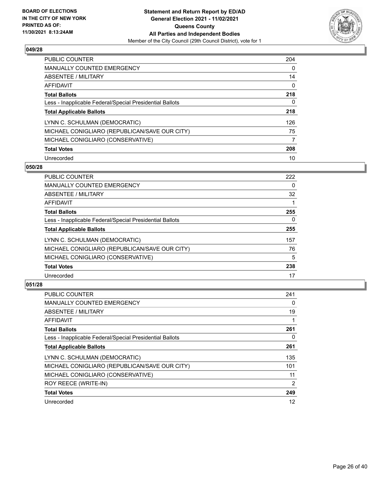

| <b>PUBLIC COUNTER</b>                                    | 204 |
|----------------------------------------------------------|-----|
| <b>MANUALLY COUNTED EMERGENCY</b>                        | 0   |
| ABSENTEE / MILITARY                                      | 14  |
| AFFIDAVIT                                                | 0   |
| <b>Total Ballots</b>                                     | 218 |
| Less - Inapplicable Federal/Special Presidential Ballots | 0   |
| <b>Total Applicable Ballots</b>                          | 218 |
| LYNN C. SCHULMAN (DEMOCRATIC)                            | 126 |
| MICHAEL CONIGLIARO (REPUBLICAN/SAVE OUR CITY)            | 75  |
| MICHAEL CONIGLIARO (CONSERVATIVE)                        | 7   |
| <b>Total Votes</b>                                       | 208 |
| Unrecorded                                               | 10  |

#### **050/28**

| 222      |
|----------|
| $\Omega$ |
| 32       |
|          |
| 255      |
| $\Omega$ |
| 255      |
| 157      |
| 76       |
| 5        |
| 238      |
| 17       |
|          |

| <b>PUBLIC COUNTER</b>                                    | 241 |
|----------------------------------------------------------|-----|
| <b>MANUALLY COUNTED EMERGENCY</b>                        | 0   |
| ABSENTEE / MILITARY                                      | 19  |
| AFFIDAVIT                                                |     |
| <b>Total Ballots</b>                                     | 261 |
| Less - Inapplicable Federal/Special Presidential Ballots | 0   |
| <b>Total Applicable Ballots</b>                          | 261 |
| LYNN C. SCHULMAN (DEMOCRATIC)                            | 135 |
| MICHAEL CONIGLIARO (REPUBLICAN/SAVE OUR CITY)            | 101 |
| MICHAEL CONIGLIARO (CONSERVATIVE)                        | 11  |
| ROY REECE (WRITE-IN)                                     | 2   |
| <b>Total Votes</b>                                       | 249 |
| Unrecorded                                               | 12  |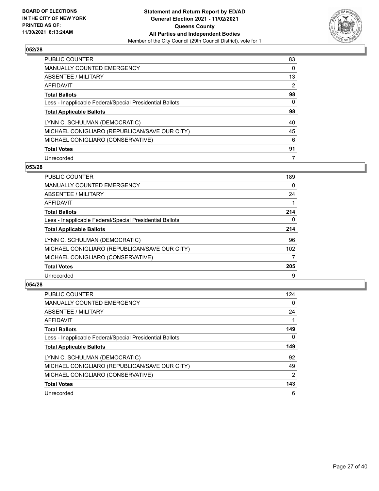

| <b>PUBLIC COUNTER</b>                                    | 83 |
|----------------------------------------------------------|----|
| <b>MANUALLY COUNTED EMERGENCY</b>                        | 0  |
| ABSENTEE / MILITARY                                      | 13 |
| AFFIDAVIT                                                | 2  |
| <b>Total Ballots</b>                                     | 98 |
| Less - Inapplicable Federal/Special Presidential Ballots | 0  |
| <b>Total Applicable Ballots</b>                          | 98 |
| LYNN C. SCHULMAN (DEMOCRATIC)                            | 40 |
| MICHAEL CONIGLIARO (REPUBLICAN/SAVE OUR CITY)            | 45 |
| MICHAEL CONIGLIARO (CONSERVATIVE)                        | 6  |
| <b>Total Votes</b>                                       | 91 |
| Unrecorded                                               | 7  |

#### **053/28**

| <b>PUBLIC COUNTER</b>                                    | 189      |
|----------------------------------------------------------|----------|
| MANUALLY COUNTED EMERGENCY                               | $\Omega$ |
| ABSENTEE / MILITARY                                      | 24       |
| <b>AFFIDAVIT</b>                                         |          |
| <b>Total Ballots</b>                                     | 214      |
| Less - Inapplicable Federal/Special Presidential Ballots | $\Omega$ |
| <b>Total Applicable Ballots</b>                          | 214      |
| LYNN C. SCHULMAN (DEMOCRATIC)                            | 96       |
| MICHAEL CONIGLIARO (REPUBLICAN/SAVE OUR CITY)            | 102      |
| MICHAEL CONIGLIARO (CONSERVATIVE)                        | 7        |
| <b>Total Votes</b>                                       | 205      |
| Unrecorded                                               | 9        |

| <b>PUBLIC COUNTER</b>                                    | 124      |
|----------------------------------------------------------|----------|
| <b>MANUALLY COUNTED EMERGENCY</b>                        | 0        |
| ABSENTEE / MILITARY                                      | 24       |
| AFFIDAVIT                                                |          |
| <b>Total Ballots</b>                                     | 149      |
| Less - Inapplicable Federal/Special Presidential Ballots | $\Omega$ |
| <b>Total Applicable Ballots</b>                          | 149      |
| LYNN C. SCHULMAN (DEMOCRATIC)                            | 92       |
| MICHAEL CONIGLIARO (REPUBLICAN/SAVE OUR CITY)            | 49       |
| MICHAEL CONIGLIARO (CONSERVATIVE)                        | 2        |
| <b>Total Votes</b>                                       | 143      |
| Unrecorded                                               | 6        |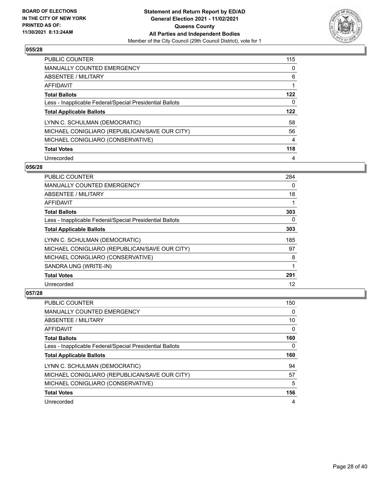

| <b>PUBLIC COUNTER</b>                                    | 115 |
|----------------------------------------------------------|-----|
| <b>MANUALLY COUNTED EMERGENCY</b>                        | 0   |
| ABSENTEE / MILITARY                                      | 6   |
| AFFIDAVIT                                                | 1   |
| <b>Total Ballots</b>                                     | 122 |
| Less - Inapplicable Federal/Special Presidential Ballots | 0   |
| <b>Total Applicable Ballots</b>                          | 122 |
| LYNN C. SCHULMAN (DEMOCRATIC)                            | 58  |
| MICHAEL CONIGLIARO (REPUBLICAN/SAVE OUR CITY)            | 56  |
| MICHAEL CONIGLIARO (CONSERVATIVE)                        | 4   |
| <b>Total Votes</b>                                       | 118 |
|                                                          |     |

#### **056/28**

| <b>PUBLIC COUNTER</b>                                    | 284 |
|----------------------------------------------------------|-----|
| MANUALLY COUNTED EMERGENCY                               | 0   |
| ABSENTEE / MILITARY                                      | 18  |
| AFFIDAVIT                                                |     |
| <b>Total Ballots</b>                                     | 303 |
| Less - Inapplicable Federal/Special Presidential Ballots | 0   |
| <b>Total Applicable Ballots</b>                          | 303 |
| LYNN C. SCHULMAN (DEMOCRATIC)                            | 185 |
| MICHAEL CONIGLIARO (REPUBLICAN/SAVE OUR CITY)            | 97  |
| MICHAEL CONIGLIARO (CONSERVATIVE)                        | 8   |
| SANDRA UNG (WRITE-IN)                                    | 1   |
| <b>Total Votes</b>                                       | 291 |
| Unrecorded                                               | 12  |

| PUBLIC COUNTER                                           | 150 |
|----------------------------------------------------------|-----|
| <b>MANUALLY COUNTED EMERGENCY</b>                        | 0   |
| ABSENTEE / MILITARY                                      | 10  |
| AFFIDAVIT                                                | 0   |
| <b>Total Ballots</b>                                     | 160 |
| Less - Inapplicable Federal/Special Presidential Ballots | 0   |
| <b>Total Applicable Ballots</b>                          | 160 |
| LYNN C. SCHULMAN (DEMOCRATIC)                            | 94  |
|                                                          |     |
| MICHAEL CONIGLIARO (REPUBLICAN/SAVE OUR CITY)            | 57  |
| MICHAEL CONIGLIARO (CONSERVATIVE)                        | 5   |
| <b>Total Votes</b>                                       | 156 |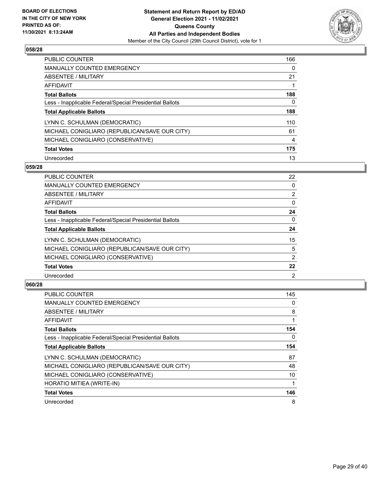

| <b>PUBLIC COUNTER</b>                                    | 166 |
|----------------------------------------------------------|-----|
| <b>MANUALLY COUNTED EMERGENCY</b>                        | 0   |
| ABSENTEE / MILITARY                                      | 21  |
| AFFIDAVIT                                                |     |
| <b>Total Ballots</b>                                     | 188 |
| Less - Inapplicable Federal/Special Presidential Ballots | 0   |
| <b>Total Applicable Ballots</b>                          | 188 |
| LYNN C. SCHULMAN (DEMOCRATIC)                            | 110 |
| MICHAEL CONIGLIARO (REPUBLICAN/SAVE OUR CITY)            | 61  |
| MICHAEL CONIGLIARO (CONSERVATIVE)                        | 4   |
| <b>Total Votes</b>                                       | 175 |
| Unrecorded                                               | 13  |

#### **059/28**

| <b>PUBLIC COUNTER</b>                                    | 22             |
|----------------------------------------------------------|----------------|
| <b>MANUALLY COUNTED EMERGENCY</b>                        | $\Omega$       |
| ABSENTEE / MILITARY                                      | $\overline{2}$ |
| AFFIDAVIT                                                | $\Omega$       |
| <b>Total Ballots</b>                                     | 24             |
| Less - Inapplicable Federal/Special Presidential Ballots | $\Omega$       |
| <b>Total Applicable Ballots</b>                          | 24             |
| LYNN C. SCHULMAN (DEMOCRATIC)                            | 15             |
| MICHAEL CONIGLIARO (REPUBLICAN/SAVE OUR CITY)            | 5              |
| MICHAEL CONIGLIARO (CONSERVATIVE)                        | $\overline{2}$ |
| <b>Total Votes</b>                                       | 22             |
| Unrecorded                                               | 2              |

| <b>PUBLIC COUNTER</b>                                    | 145      |
|----------------------------------------------------------|----------|
| <b>MANUALLY COUNTED EMERGENCY</b>                        | 0        |
| ABSENTEE / MILITARY                                      | 8        |
| AFFIDAVIT                                                | 1        |
| <b>Total Ballots</b>                                     | 154      |
| Less - Inapplicable Federal/Special Presidential Ballots | $\Omega$ |
| <b>Total Applicable Ballots</b>                          | 154      |
| LYNN C. SCHULMAN (DEMOCRATIC)                            | 87       |
| MICHAEL CONIGLIARO (REPUBLICAN/SAVE OUR CITY)            | 48       |
| MICHAEL CONIGLIARO (CONSERVATIVE)                        | 10       |
| HORATIO MITIEA (WRITE-IN)                                |          |
| <b>Total Votes</b>                                       | 146      |
| Unrecorded                                               | 8        |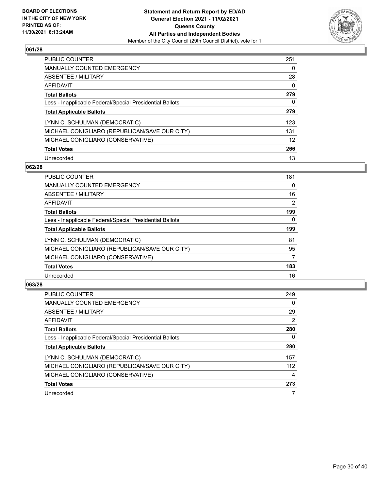

| <b>PUBLIC COUNTER</b>                                    | 251 |
|----------------------------------------------------------|-----|
| <b>MANUALLY COUNTED EMERGENCY</b>                        | 0   |
| ABSENTEE / MILITARY                                      | 28  |
| AFFIDAVIT                                                | 0   |
| <b>Total Ballots</b>                                     | 279 |
| Less - Inapplicable Federal/Special Presidential Ballots | 0   |
| <b>Total Applicable Ballots</b>                          | 279 |
| LYNN C. SCHULMAN (DEMOCRATIC)                            | 123 |
| MICHAEL CONIGLIARO (REPUBLICAN/SAVE OUR CITY)            | 131 |
| MICHAEL CONIGLIARO (CONSERVATIVE)                        | 12  |
| <b>Total Votes</b>                                       | 266 |
| Unrecorded                                               | 13  |

#### **062/28**

| <b>PUBLIC COUNTER</b>                                    | 181      |
|----------------------------------------------------------|----------|
| <b>MANUALLY COUNTED EMERGENCY</b>                        | $\Omega$ |
| ABSENTEE / MILITARY                                      | 16       |
| <b>AFFIDAVIT</b>                                         | 2        |
| <b>Total Ballots</b>                                     | 199      |
| Less - Inapplicable Federal/Special Presidential Ballots | $\Omega$ |
| <b>Total Applicable Ballots</b>                          | 199      |
| LYNN C. SCHULMAN (DEMOCRATIC)                            | 81       |
| MICHAEL CONIGLIARO (REPUBLICAN/SAVE OUR CITY)            | 95       |
| MICHAEL CONIGLIARO (CONSERVATIVE)                        | 7        |
| <b>Total Votes</b>                                       | 183      |
| Unrecorded                                               | 16       |

| <b>PUBLIC COUNTER</b>                                    | 249            |
|----------------------------------------------------------|----------------|
| <b>MANUALLY COUNTED EMERGENCY</b>                        | $\Omega$       |
| ABSENTEE / MILITARY                                      | 29             |
| <b>AFFIDAVIT</b>                                         | $\overline{2}$ |
| <b>Total Ballots</b>                                     | 280            |
| Less - Inapplicable Federal/Special Presidential Ballots | 0              |
| <b>Total Applicable Ballots</b>                          | 280            |
| LYNN C. SCHULMAN (DEMOCRATIC)                            | 157            |
| MICHAEL CONIGLIARO (REPUBLICAN/SAVE OUR CITY)            | 112            |
| MICHAEL CONIGLIARO (CONSERVATIVE)                        | 4              |
| <b>Total Votes</b>                                       | 273            |
| Unrecorded                                               |                |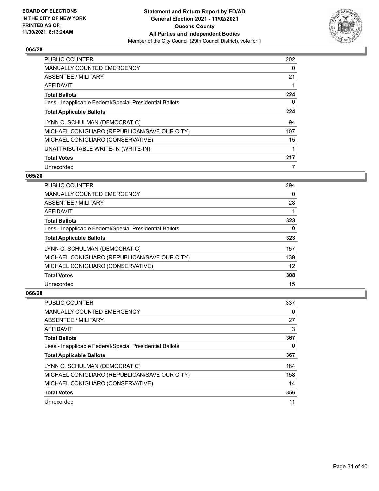

| <b>PUBLIC COUNTER</b>                                    | 202 |
|----------------------------------------------------------|-----|
| MANUALLY COUNTED EMERGENCY                               | 0   |
| ABSENTEE / MILITARY                                      | 21  |
| AFFIDAVIT                                                |     |
| <b>Total Ballots</b>                                     | 224 |
| Less - Inapplicable Federal/Special Presidential Ballots | 0   |
| <b>Total Applicable Ballots</b>                          | 224 |
| LYNN C. SCHULMAN (DEMOCRATIC)                            | 94  |
| MICHAEL CONIGLIARO (REPUBLICAN/SAVE OUR CITY)            | 107 |
| MICHAEL CONIGLIARO (CONSERVATIVE)                        | 15  |
| UNATTRIBUTABLE WRITE-IN (WRITE-IN)                       | 1   |
| <b>Total Votes</b>                                       | 217 |
| Unrecorded                                               |     |

# **065/28**

| <b>PUBLIC COUNTER</b>                                    | 294      |
|----------------------------------------------------------|----------|
| <b>MANUALLY COUNTED EMERGENCY</b>                        | 0        |
| ABSENTEE / MILITARY                                      | 28       |
| AFFIDAVIT                                                |          |
| <b>Total Ballots</b>                                     | 323      |
| Less - Inapplicable Federal/Special Presidential Ballots | $\Omega$ |
| <b>Total Applicable Ballots</b>                          | 323      |
| LYNN C. SCHULMAN (DEMOCRATIC)                            | 157      |
| MICHAEL CONIGLIARO (REPUBLICAN/SAVE OUR CITY)            | 139      |
| MICHAEL CONIGLIARO (CONSERVATIVE)                        | 12       |
| <b>Total Votes</b>                                       | 308      |
| Unrecorded                                               | 15       |

| <b>PUBLIC COUNTER</b>                                    | 337 |
|----------------------------------------------------------|-----|
| <b>MANUALLY COUNTED EMERGENCY</b>                        | 0   |
| ABSENTEE / MILITARY                                      | 27  |
| AFFIDAVIT                                                | 3   |
| <b>Total Ballots</b>                                     | 367 |
| Less - Inapplicable Federal/Special Presidential Ballots | 0   |
| <b>Total Applicable Ballots</b>                          | 367 |
| LYNN C. SCHULMAN (DEMOCRATIC)                            | 184 |
| MICHAEL CONIGLIARO (REPUBLICAN/SAVE OUR CITY)            | 158 |
| MICHAEL CONIGLIARO (CONSERVATIVE)                        | 14  |
| <b>Total Votes</b>                                       | 356 |
| Unrecorded                                               | 11  |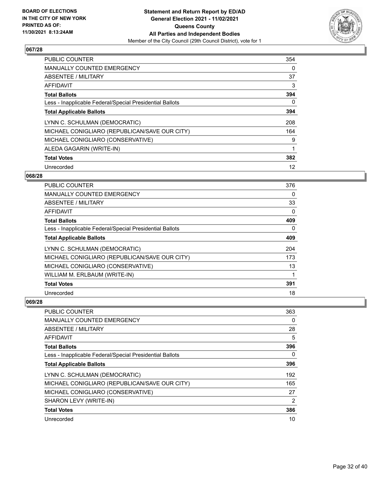

| PUBLIC COUNTER                                           | 354 |
|----------------------------------------------------------|-----|
| <b>MANUALLY COUNTED EMERGENCY</b>                        | 0   |
| ABSENTEE / MILITARY                                      | 37  |
| AFFIDAVIT                                                | 3   |
| <b>Total Ballots</b>                                     | 394 |
| Less - Inapplicable Federal/Special Presidential Ballots | 0   |
| <b>Total Applicable Ballots</b>                          | 394 |
| LYNN C. SCHULMAN (DEMOCRATIC)                            | 208 |
| MICHAEL CONIGLIARO (REPUBLICAN/SAVE OUR CITY)            | 164 |
| MICHAEL CONIGLIARO (CONSERVATIVE)                        | 9   |
| ALEDA GAGARIN (WRITE-IN)                                 |     |
| <b>Total Votes</b>                                       | 382 |
| Unrecorded                                               | 12  |

### **068/28**

| <b>PUBLIC COUNTER</b>                                    | 376      |
|----------------------------------------------------------|----------|
| MANUALLY COUNTED EMERGENCY                               | $\Omega$ |
| ABSENTEE / MILITARY                                      | 33       |
| AFFIDAVIT                                                | $\Omega$ |
| <b>Total Ballots</b>                                     | 409      |
| Less - Inapplicable Federal/Special Presidential Ballots | $\Omega$ |
| <b>Total Applicable Ballots</b>                          | 409      |
| LYNN C. SCHULMAN (DEMOCRATIC)                            | 204      |
| MICHAEL CONIGLIARO (REPUBLICAN/SAVE OUR CITY)            | 173      |
| MICHAEL CONIGLIARO (CONSERVATIVE)                        | 13       |
| WILLIAM M. ERLBAUM (WRITE-IN)                            |          |
| <b>Total Votes</b>                                       | 391      |
| Unrecorded                                               | 18       |

| PUBLIC COUNTER                                           | 363            |
|----------------------------------------------------------|----------------|
| <b>MANUALLY COUNTED EMERGENCY</b>                        | 0              |
| ABSENTEE / MILITARY                                      | 28             |
| AFFIDAVIT                                                | 5              |
| <b>Total Ballots</b>                                     | 396            |
| Less - Inapplicable Federal/Special Presidential Ballots | 0              |
| <b>Total Applicable Ballots</b>                          | 396            |
| LYNN C. SCHULMAN (DEMOCRATIC)                            | 192            |
| MICHAEL CONIGLIARO (REPUBLICAN/SAVE OUR CITY)            | 165            |
| MICHAEL CONIGLIARO (CONSERVATIVE)                        | 27             |
| SHARON LEVY (WRITE-IN)                                   | $\overline{2}$ |
| <b>Total Votes</b>                                       | 386            |
| Unrecorded                                               | 10             |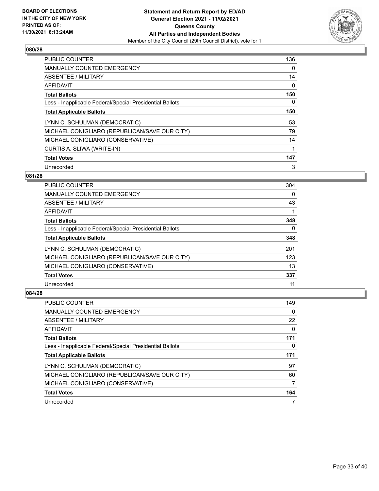

| <b>PUBLIC COUNTER</b>                                    | 136 |
|----------------------------------------------------------|-----|
| MANUALLY COUNTED EMERGENCY                               | 0   |
| ABSENTEE / MILITARY                                      | 14  |
| AFFIDAVIT                                                | 0   |
| <b>Total Ballots</b>                                     | 150 |
| Less - Inapplicable Federal/Special Presidential Ballots | 0   |
| <b>Total Applicable Ballots</b>                          | 150 |
| LYNN C. SCHULMAN (DEMOCRATIC)                            | 53  |
| MICHAEL CONIGLIARO (REPUBLICAN/SAVE OUR CITY)            | 79  |
| MICHAEL CONIGLIARO (CONSERVATIVE)                        | 14  |
| CURTIS A. SLIWA (WRITE-IN)                               | 1   |
| <b>Total Votes</b>                                       | 147 |
| Unrecorded                                               | 3   |

# **081/28**

| <b>PUBLIC COUNTER</b>                                    | 304 |
|----------------------------------------------------------|-----|
| <b>MANUALLY COUNTED EMERGENCY</b>                        | 0   |
| ABSENTEE / MILITARY                                      | 43  |
| <b>AFFIDAVIT</b>                                         |     |
| <b>Total Ballots</b>                                     | 348 |
| Less - Inapplicable Federal/Special Presidential Ballots | 0   |
| <b>Total Applicable Ballots</b>                          | 348 |
| LYNN C. SCHULMAN (DEMOCRATIC)                            | 201 |
| MICHAEL CONIGLIARO (REPUBLICAN/SAVE OUR CITY)            | 123 |
| MICHAEL CONIGLIARO (CONSERVATIVE)                        | 13  |
| <b>Total Votes</b>                                       | 337 |
| Unrecorded                                               | 11  |

| PUBLIC COUNTER                                           | 149 |
|----------------------------------------------------------|-----|
| <b>MANUALLY COUNTED EMERGENCY</b>                        | 0   |
| ABSENTEE / MILITARY                                      | 22  |
| AFFIDAVIT                                                | 0   |
| <b>Total Ballots</b>                                     | 171 |
| Less - Inapplicable Federal/Special Presidential Ballots | 0   |
|                                                          |     |
| <b>Total Applicable Ballots</b>                          | 171 |
| LYNN C. SCHULMAN (DEMOCRATIC)                            | 97  |
| MICHAEL CONIGLIARO (REPUBLICAN/SAVE OUR CITY)            | 60  |
| MICHAEL CONIGLIARO (CONSERVATIVE)                        | 7   |
| <b>Total Votes</b>                                       | 164 |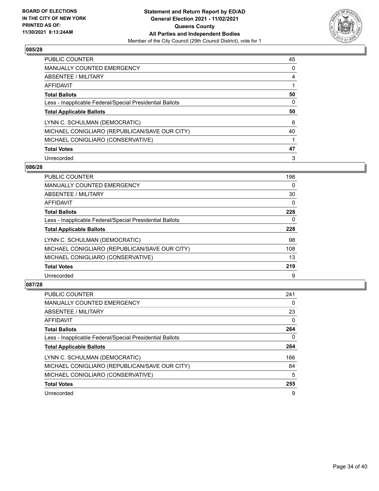

| PUBLIC COUNTER                                           | 45 |
|----------------------------------------------------------|----|
| <b>MANUALLY COUNTED EMERGENCY</b>                        | 0  |
| ABSENTEE / MILITARY                                      | 4  |
| AFFIDAVIT                                                |    |
| <b>Total Ballots</b>                                     | 50 |
| Less - Inapplicable Federal/Special Presidential Ballots | 0  |
| <b>Total Applicable Ballots</b>                          | 50 |
| LYNN C. SCHULMAN (DEMOCRATIC)                            | 6  |
| MICHAEL CONIGLIARO (REPUBLICAN/SAVE OUR CITY)            | 40 |
| MICHAEL CONIGLIARO (CONSERVATIVE)                        |    |
| <b>Total Votes</b>                                       | 47 |
|                                                          |    |

#### **086/28**

| <b>PUBLIC COUNTER</b>                                    | 198      |
|----------------------------------------------------------|----------|
| <b>MANUALLY COUNTED EMERGENCY</b>                        | $\Omega$ |
| ABSENTEE / MILITARY                                      | 30       |
| <b>AFFIDAVIT</b>                                         | $\Omega$ |
| <b>Total Ballots</b>                                     | 228      |
| Less - Inapplicable Federal/Special Presidential Ballots | $\Omega$ |
| <b>Total Applicable Ballots</b>                          | 228      |
| LYNN C. SCHULMAN (DEMOCRATIC)                            | 98       |
| MICHAEL CONIGLIARO (REPUBLICAN/SAVE OUR CITY)            | 108      |
| MICHAEL CONIGLIARO (CONSERVATIVE)                        | 13       |
| <b>Total Votes</b>                                       | 219      |
| Unrecorded                                               | 9        |

| <b>PUBLIC COUNTER</b>                                    | 241 |
|----------------------------------------------------------|-----|
| <b>MANUALLY COUNTED EMERGENCY</b>                        | 0   |
| ABSENTEE / MILITARY                                      | 23  |
| <b>AFFIDAVIT</b>                                         | 0   |
| <b>Total Ballots</b>                                     | 264 |
| Less - Inapplicable Federal/Special Presidential Ballots | 0   |
| <b>Total Applicable Ballots</b>                          | 264 |
| LYNN C. SCHULMAN (DEMOCRATIC)                            | 166 |
| MICHAEL CONIGLIARO (REPUBLICAN/SAVE OUR CITY)            | 84  |
| MICHAEL CONIGLIARO (CONSERVATIVE)                        | 5   |
| <b>Total Votes</b>                                       | 255 |
| Unrecorded                                               | 9   |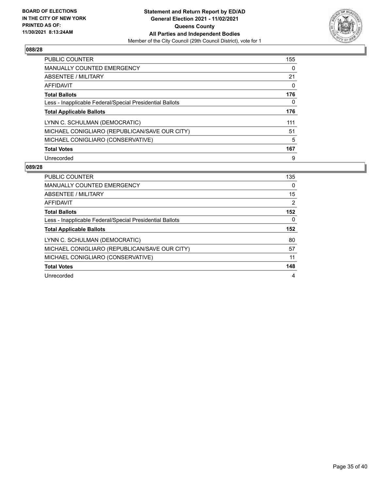

| PUBLIC COUNTER                                           | 155 |
|----------------------------------------------------------|-----|
| <b>MANUALLY COUNTED EMERGENCY</b>                        | 0   |
| ABSENTEE / MILITARY                                      | 21  |
| AFFIDAVIT                                                | 0   |
| <b>Total Ballots</b>                                     | 176 |
| Less - Inapplicable Federal/Special Presidential Ballots | 0   |
|                                                          |     |
| <b>Total Applicable Ballots</b>                          | 176 |
| LYNN C. SCHULMAN (DEMOCRATIC)                            | 111 |
| MICHAEL CONIGLIARO (REPUBLICAN/SAVE OUR CITY)            | 51  |
| MICHAEL CONIGLIARO (CONSERVATIVE)                        | 5   |
| <b>Total Votes</b>                                       | 167 |

| PUBLIC COUNTER                                           | 135 |
|----------------------------------------------------------|-----|
| <b>MANUALLY COUNTED EMERGENCY</b>                        | 0   |
| ABSENTEE / MILITARY                                      | 15  |
| AFFIDAVIT                                                | 2   |
| <b>Total Ballots</b>                                     | 152 |
| Less - Inapplicable Federal/Special Presidential Ballots | 0   |
| <b>Total Applicable Ballots</b>                          | 152 |
| LYNN C. SCHULMAN (DEMOCRATIC)                            | 80  |
| MICHAEL CONIGLIARO (REPUBLICAN/SAVE OUR CITY)            | 57  |
| MICHAEL CONIGLIARO (CONSERVATIVE)                        | 11  |
| <b>Total Votes</b>                                       | 148 |
| Unrecorded                                               | 4   |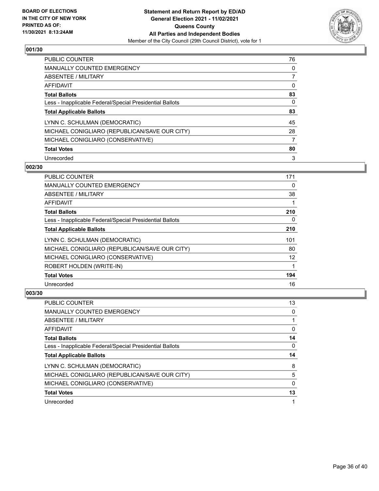

| <b>PUBLIC COUNTER</b>                                    | 76 |
|----------------------------------------------------------|----|
| <b>MANUALLY COUNTED EMERGENCY</b>                        | 0  |
| ABSENTEE / MILITARY                                      |    |
| AFFIDAVIT                                                | 0  |
| <b>Total Ballots</b>                                     | 83 |
| Less - Inapplicable Federal/Special Presidential Ballots | 0  |
| <b>Total Applicable Ballots</b>                          | 83 |
| LYNN C. SCHULMAN (DEMOCRATIC)                            | 45 |
| MICHAEL CONIGLIARO (REPUBLICAN/SAVE OUR CITY)            | 28 |
| MICHAEL CONIGLIARO (CONSERVATIVE)                        |    |
| <b>Total Votes</b>                                       | 80 |
| Unrecorded                                               | 3  |

#### **002/30**

| PUBLIC COUNTER                                           | 171      |
|----------------------------------------------------------|----------|
| <b>MANUALLY COUNTED EMERGENCY</b>                        | 0        |
| ABSENTEE / MILITARY                                      | 38       |
| AFFIDAVIT                                                |          |
| <b>Total Ballots</b>                                     | 210      |
| Less - Inapplicable Federal/Special Presidential Ballots | $\Omega$ |
| <b>Total Applicable Ballots</b>                          | 210      |
| LYNN C. SCHULMAN (DEMOCRATIC)                            | 101      |
| MICHAEL CONIGLIARO (REPUBLICAN/SAVE OUR CITY)            | 80       |
| MICHAEL CONIGLIARO (CONSERVATIVE)                        | 12       |
| ROBERT HOLDEN (WRITE-IN)                                 |          |
| <b>Total Votes</b>                                       | 194      |
| Unrecorded                                               | 16       |

| <b>PUBLIC COUNTER</b>                                    | 13 |
|----------------------------------------------------------|----|
| <b>MANUALLY COUNTED EMERGENCY</b>                        | 0  |
| ABSENTEE / MILITARY                                      |    |
| AFFIDAVIT                                                | 0  |
| <b>Total Ballots</b>                                     | 14 |
| Less - Inapplicable Federal/Special Presidential Ballots | 0  |
| <b>Total Applicable Ballots</b>                          | 14 |
|                                                          |    |
| LYNN C. SCHULMAN (DEMOCRATIC)                            | 8  |
| MICHAEL CONIGLIARO (REPUBLICAN/SAVE OUR CITY)            | 5  |
| MICHAEL CONIGLIARO (CONSERVATIVE)                        | 0  |
| <b>Total Votes</b>                                       | 13 |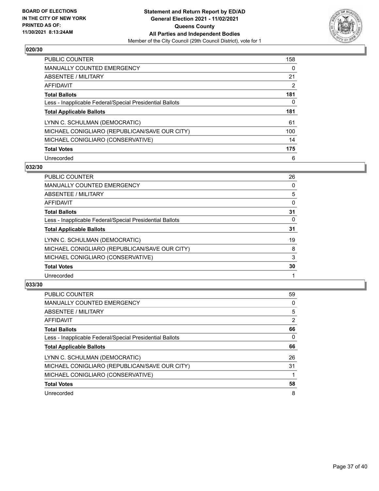

| <b>PUBLIC COUNTER</b>                                    | 158 |
|----------------------------------------------------------|-----|
| <b>MANUALLY COUNTED EMERGENCY</b>                        | 0   |
| ABSENTEE / MILITARY                                      | 21  |
| AFFIDAVIT                                                | 2   |
| <b>Total Ballots</b>                                     | 181 |
| Less - Inapplicable Federal/Special Presidential Ballots | 0   |
| <b>Total Applicable Ballots</b>                          | 181 |
| LYNN C. SCHULMAN (DEMOCRATIC)                            | 61  |
| MICHAEL CONIGLIARO (REPUBLICAN/SAVE OUR CITY)            | 100 |
| MICHAEL CONIGLIARO (CONSERVATIVE)                        | 14  |
| <b>Total Votes</b>                                       | 175 |
| Unrecorded                                               | 6   |

#### **032/30**

| PUBLIC COUNTER                                           | 26       |
|----------------------------------------------------------|----------|
| <b>MANUALLY COUNTED EMERGENCY</b>                        | $\Omega$ |
| ABSENTEE / MILITARY                                      | 5        |
| AFFIDAVIT                                                | $\Omega$ |
| <b>Total Ballots</b>                                     | 31       |
| Less - Inapplicable Federal/Special Presidential Ballots | 0        |
| <b>Total Applicable Ballots</b>                          | 31       |
| LYNN C. SCHULMAN (DEMOCRATIC)                            | 19       |
| MICHAEL CONIGLIARO (REPUBLICAN/SAVE OUR CITY)            | 8        |
| MICHAEL CONIGLIARO (CONSERVATIVE)                        | 3        |
| <b>Total Votes</b>                                       | 30       |
| Unrecorded                                               |          |

| <b>PUBLIC COUNTER</b>                                    | 59             |
|----------------------------------------------------------|----------------|
| <b>MANUALLY COUNTED EMERGENCY</b>                        | 0              |
| ABSENTEE / MILITARY                                      | 5              |
| <b>AFFIDAVIT</b>                                         | $\overline{2}$ |
| <b>Total Ballots</b>                                     | 66             |
| Less - Inapplicable Federal/Special Presidential Ballots | 0              |
| <b>Total Applicable Ballots</b>                          | 66             |
| LYNN C. SCHULMAN (DEMOCRATIC)                            | 26             |
| MICHAEL CONIGLIARO (REPUBLICAN/SAVE OUR CITY)            | 31             |
| MICHAEL CONIGLIARO (CONSERVATIVE)                        |                |
| <b>Total Votes</b>                                       | 58             |
| Unrecorded                                               | 8              |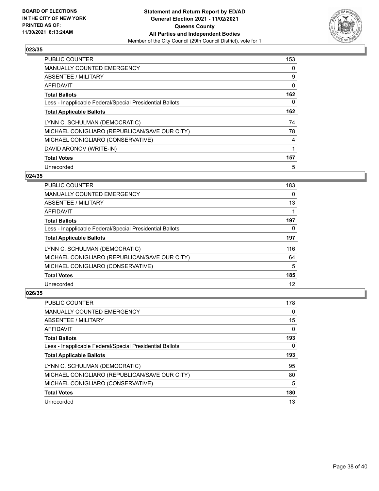

| PUBLIC COUNTER                                           | 153 |
|----------------------------------------------------------|-----|
| MANUALLY COUNTED EMERGENCY                               | 0   |
| ABSENTEE / MILITARY                                      | 9   |
| <b>AFFIDAVIT</b>                                         | 0   |
| <b>Total Ballots</b>                                     | 162 |
| Less - Inapplicable Federal/Special Presidential Ballots | 0   |
| <b>Total Applicable Ballots</b>                          | 162 |
| LYNN C. SCHULMAN (DEMOCRATIC)                            | 74  |
| MICHAEL CONIGLIARO (REPUBLICAN/SAVE OUR CITY)            | 78  |
| MICHAEL CONIGLIARO (CONSERVATIVE)                        | 4   |
| DAVID ARONOV (WRITE-IN)                                  |     |
| <b>Total Votes</b>                                       | 157 |
| Unrecorded                                               | 5   |

# **024/35**

| <b>PUBLIC COUNTER</b>                                    | 183 |
|----------------------------------------------------------|-----|
| <b>MANUALLY COUNTED EMERGENCY</b>                        | 0   |
| ABSENTEE / MILITARY                                      | 13  |
| <b>AFFIDAVIT</b>                                         |     |
| <b>Total Ballots</b>                                     | 197 |
| Less - Inapplicable Federal/Special Presidential Ballots | 0   |
| <b>Total Applicable Ballots</b>                          | 197 |
| LYNN C. SCHULMAN (DEMOCRATIC)                            | 116 |
| MICHAEL CONIGLIARO (REPUBLICAN/SAVE OUR CITY)            | 64  |
| MICHAEL CONIGLIARO (CONSERVATIVE)                        | 5   |
| <b>Total Votes</b>                                       | 185 |
| Unrecorded                                               | 12  |

| PUBLIC COUNTER                                           | 178 |
|----------------------------------------------------------|-----|
| <b>MANUALLY COUNTED EMERGENCY</b>                        | 0   |
| ABSENTEE / MILITARY                                      | 15  |
| AFFIDAVIT                                                | 0   |
| <b>Total Ballots</b>                                     | 193 |
| Less - Inapplicable Federal/Special Presidential Ballots | 0   |
|                                                          |     |
| <b>Total Applicable Ballots</b>                          | 193 |
| LYNN C. SCHULMAN (DEMOCRATIC)                            | 95  |
| MICHAEL CONIGLIARO (REPUBLICAN/SAVE OUR CITY)            | 80  |
| MICHAEL CONIGLIARO (CONSERVATIVE)                        | 5   |
| <b>Total Votes</b>                                       | 180 |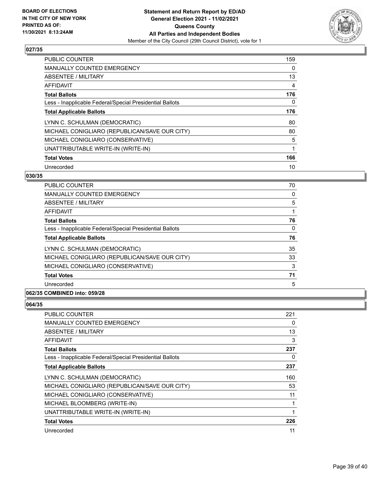

| <b>PUBLIC COUNTER</b>                                    | 159 |
|----------------------------------------------------------|-----|
| <b>MANUALLY COUNTED EMERGENCY</b>                        | 0   |
| ABSENTEE / MILITARY                                      | 13  |
| AFFIDAVIT                                                | 4   |
| <b>Total Ballots</b>                                     | 176 |
| Less - Inapplicable Federal/Special Presidential Ballots | 0   |
| <b>Total Applicable Ballots</b>                          | 176 |
| LYNN C. SCHULMAN (DEMOCRATIC)                            | 80  |
| MICHAEL CONIGLIARO (REPUBLICAN/SAVE OUR CITY)            | 80  |
| MICHAEL CONIGLIARO (CONSERVATIVE)                        | 5   |
| UNATTRIBUTABLE WRITE-IN (WRITE-IN)                       | 1   |
| <b>Total Votes</b>                                       | 166 |
| Unrecorded                                               | 10  |

# **030/35**

| <b>PUBLIC COUNTER</b>                                    | 70       |
|----------------------------------------------------------|----------|
| MANUALLY COUNTED EMERGENCY                               | 0        |
| ABSENTEE / MILITARY                                      | 5        |
| AFFIDAVIT                                                |          |
| <b>Total Ballots</b>                                     | 76       |
| Less - Inapplicable Federal/Special Presidential Ballots | $\Omega$ |
| <b>Total Applicable Ballots</b>                          | 76       |
| LYNN C. SCHULMAN (DEMOCRATIC)                            | 35       |
| MICHAEL CONIGLIARO (REPUBLICAN/SAVE OUR CITY)            | 33       |
| MICHAEL CONIGLIARO (CONSERVATIVE)                        | 3        |
| <b>Total Votes</b>                                       | 71       |
| Unrecorded                                               | 5        |
|                                                          |          |

# **062/35 COMBINED into: 059/28**

| PUBLIC COUNTER                                           | 221 |
|----------------------------------------------------------|-----|
| MANUALLY COUNTED EMERGENCY                               | 0   |
| ABSENTEE / MILITARY                                      | 13  |
| AFFIDAVIT                                                | 3   |
| <b>Total Ballots</b>                                     | 237 |
| Less - Inapplicable Federal/Special Presidential Ballots | 0   |
| <b>Total Applicable Ballots</b>                          | 237 |
| LYNN C. SCHULMAN (DEMOCRATIC)                            | 160 |
| MICHAEL CONIGLIARO (REPUBLICAN/SAVE OUR CITY)            | 53  |
| MICHAEL CONIGLIARO (CONSERVATIVE)                        | 11  |
| MICHAEL BLOOMBERG (WRITE-IN)                             |     |
| UNATTRIBUTABLE WRITE-IN (WRITE-IN)                       | 1   |
| <b>Total Votes</b>                                       | 226 |
| Unrecorded                                               | 11  |